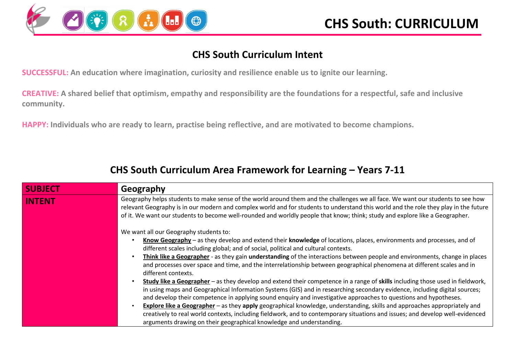

### **CHS South Curriculum Intent**

**SUCCESSFUL: An education where imagination, curiosity and resilience enable us to ignite our learning.**

**CREATIVE: A shared belief that optimism, empathy and responsibility are the foundations for a respectful, safe and inclusive community.**

**HAPPY: Individuals who are ready to learn, practise being reflective, and are motivated to become champions.**

### **CHS South Curriculum Area Framework for Learning – Years 7-11**

| <b>SUBJECT</b> | Geography                                                                                                                                                                                                                                                                                                                                                                                                                                                                                                                                                                                                                                                                                                                                                                                                                                                                                                                                                                                                                                                                                                                                                                                                                                                          |
|----------------|--------------------------------------------------------------------------------------------------------------------------------------------------------------------------------------------------------------------------------------------------------------------------------------------------------------------------------------------------------------------------------------------------------------------------------------------------------------------------------------------------------------------------------------------------------------------------------------------------------------------------------------------------------------------------------------------------------------------------------------------------------------------------------------------------------------------------------------------------------------------------------------------------------------------------------------------------------------------------------------------------------------------------------------------------------------------------------------------------------------------------------------------------------------------------------------------------------------------------------------------------------------------|
| <b>INTENT</b>  | Geography helps students to make sense of the world around them and the challenges we all face. We want our students to see how<br>relevant Geography is in our modern and complex world and for students to understand this world and the role they play in the future<br>of it. We want our students to become well-rounded and worldly people that know; think; study and explore like a Geographer.                                                                                                                                                                                                                                                                                                                                                                                                                                                                                                                                                                                                                                                                                                                                                                                                                                                            |
|                | We want all our Geography students to:<br>Know Geography – as they develop and extend their knowledge of locations, places, environments and processes, and of<br>different scales including global; and of social, political and cultural contexts.<br>Think like a Geographer - as they gain understanding of the interactions between people and environments, change in places<br>and processes over space and time, and the interrelationship between geographical phenomena at different scales and in<br>different contexts.<br>Study like a Geographer – as they develop and extend their competence in a range of skills including those used in fieldwork,<br>in using maps and Geographical Information Systems (GIS) and in researching secondary evidence, including digital sources;<br>and develop their competence in applying sound enquiry and investigative approaches to questions and hypotheses.<br><b>Explore like a Geographer</b> – as they apply geographical knowledge, understanding, skills and approaches appropriately and<br>creatively to real world contexts, including fieldwork, and to contemporary situations and issues; and develop well-evidenced<br>arguments drawing on their geographical knowledge and understanding. |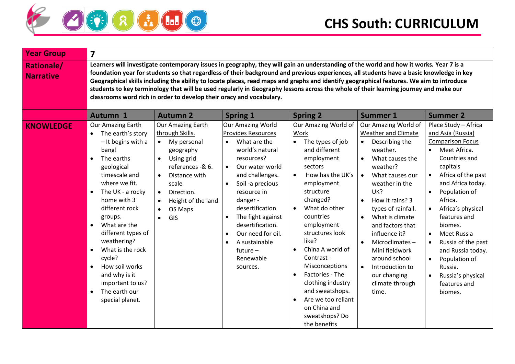

| <b>Year Group</b>                     | $\overline{\mathbf{z}}$                                                                                                                                                                                                                                                                                                                                                                                                                                                             |                                                                                                                                                                                                                                                                                      |                                                                                                                                                                                                                                                                                                                                                                                                               |                                                                                                                                                                                                                                                                                                                                                                                                                                                                                                                                                                        |                                                                                                                                                                                                                                                                                                                                                                                                                                                                       |                                                                                                                                                                                                                                                                                                                                                                                                                                                                                        |
|---------------------------------------|-------------------------------------------------------------------------------------------------------------------------------------------------------------------------------------------------------------------------------------------------------------------------------------------------------------------------------------------------------------------------------------------------------------------------------------------------------------------------------------|--------------------------------------------------------------------------------------------------------------------------------------------------------------------------------------------------------------------------------------------------------------------------------------|---------------------------------------------------------------------------------------------------------------------------------------------------------------------------------------------------------------------------------------------------------------------------------------------------------------------------------------------------------------------------------------------------------------|------------------------------------------------------------------------------------------------------------------------------------------------------------------------------------------------------------------------------------------------------------------------------------------------------------------------------------------------------------------------------------------------------------------------------------------------------------------------------------------------------------------------------------------------------------------------|-----------------------------------------------------------------------------------------------------------------------------------------------------------------------------------------------------------------------------------------------------------------------------------------------------------------------------------------------------------------------------------------------------------------------------------------------------------------------|----------------------------------------------------------------------------------------------------------------------------------------------------------------------------------------------------------------------------------------------------------------------------------------------------------------------------------------------------------------------------------------------------------------------------------------------------------------------------------------|
| <b>Rationale/</b><br><b>Narrative</b> |                                                                                                                                                                                                                                                                                                                                                                                                                                                                                     | classrooms word rich in order to develop their oracy and vocabulary.                                                                                                                                                                                                                 |                                                                                                                                                                                                                                                                                                                                                                                                               | Learners will investigate contemporary issues in geography, they will gain an understanding of the world and how it works. Year 7 is a<br>foundation year for students so that regardless of their background and previous experiences, all students have a basic knowledge in key<br>Geographical skills including the ability to locate places, read maps and graphs and identify geographical features. We aim to introduce<br>students to key terminology that will be used regularly in Geography lessons across the whole of their learning journey and make our |                                                                                                                                                                                                                                                                                                                                                                                                                                                                       |                                                                                                                                                                                                                                                                                                                                                                                                                                                                                        |
|                                       | <b>Autumn 1</b>                                                                                                                                                                                                                                                                                                                                                                                                                                                                     | <b>Autumn 2</b>                                                                                                                                                                                                                                                                      | <b>Spring 1</b>                                                                                                                                                                                                                                                                                                                                                                                               | <b>Spring 2</b>                                                                                                                                                                                                                                                                                                                                                                                                                                                                                                                                                        | <b>Summer 1</b>                                                                                                                                                                                                                                                                                                                                                                                                                                                       | <b>Summer 2</b>                                                                                                                                                                                                                                                                                                                                                                                                                                                                        |
| <b>KNOWLEDGE</b>                      | <b>Our Amazing Earth</b><br>The earth's story<br>$\bullet$<br>- It begins with a<br>bang!<br>The earths<br>$\bullet$<br>geological<br>timescale and<br>where we fit.<br>The UK - a rocky<br>$\bullet$<br>home with 3<br>different rock<br>groups.<br>What are the<br>$\bullet$<br>different types of<br>weathering?<br>What is the rock<br>$\bullet$<br>cycle?<br>How soil works<br>$\bullet$<br>and why is it<br>important to us?<br>The earth our<br>$\bullet$<br>special planet. | <b>Our Amazing Earth</b><br>through Skills.<br>My personal<br>$\bullet$<br>geography<br>Using grid<br>$\bullet$<br>references -& 6.<br>Distance with<br>$\bullet$<br>scale<br>Direction.<br>$\bullet$<br>Height of the land<br>$\bullet$<br>OS Maps<br>$\bullet$<br>GIS<br>$\bullet$ | <b>Our Amazing World</b><br><b>Provides Resources</b><br>What are the<br>$\bullet$<br>world's natural<br>resources?<br>Our water world<br>$\bullet$<br>and challenges.<br>Soil -a precious<br>$\bullet$<br>resource in<br>danger -<br>desertification<br>The fight against<br>٠<br>desertification.<br>Our need for oil.<br>$\bullet$<br>A sustainable<br>$\bullet$<br>$f$ uture $-$<br>Renewable<br>sources. | <b>Our Amazing World of</b><br>Work<br>The types of job<br>and different<br>employment<br>sectors<br>How has the UK's<br>employment<br>structure<br>changed?<br>What do other<br>countries<br>employment<br>structures look<br>like?<br>China A world of<br>Contrast -<br>Misconceptions<br>Factories - The<br>clothing industry<br>and sweatshops.<br>Are we too reliant<br>on China and<br>sweatshops? Do<br>the benefits                                                                                                                                            | <b>Our Amazing World of</b><br><b>Weather and Climate</b><br>Describing the<br>weather.<br>What causes the<br>$\bullet$<br>weather?<br>What causes our<br>$\bullet$<br>weather in the<br>UK?<br>How it rains? 3<br>$\bullet$<br>types of rainfall.<br>What is climate<br>$\bullet$<br>and factors that<br>influence it?<br>Microclimates-<br>$\bullet$<br>Mini fieldwork<br>around school<br>Introduction to<br>$\bullet$<br>our changing<br>climate through<br>time. | Place Study - Africa<br>and Asia (Russia)<br><b>Comparison Focus</b><br>Meet Africa.<br>$\bullet$<br>Countries and<br>capitals<br>Africa of the past<br>$\bullet$<br>and Africa today.<br>Population of<br>$\bullet$<br>Africa.<br>Africa's physical<br>$\bullet$<br>features and<br>biomes.<br>Meet Russia<br>$\bullet$<br>Russia of the past<br>$\bullet$<br>and Russia today.<br>Population of<br>$\bullet$<br>Russia.<br>Russia's physical<br>$\bullet$<br>features and<br>biomes. |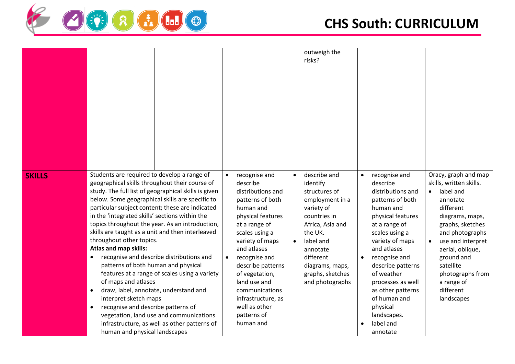

|               |                                                                                                                                                                                                                                                                                                                                                                                                                                                                                                                                                                                                                                                                                                                                                                                                                                                                                                                 |                                                                                                                                                                                                                                                                                                                                                                  | outweigh the<br>risks?                                                                                                                                                                                                                 |                                                                                                                                                                                                                                                                                                                                                                       |                                                                                                                                                                                                                                                                                  |
|---------------|-----------------------------------------------------------------------------------------------------------------------------------------------------------------------------------------------------------------------------------------------------------------------------------------------------------------------------------------------------------------------------------------------------------------------------------------------------------------------------------------------------------------------------------------------------------------------------------------------------------------------------------------------------------------------------------------------------------------------------------------------------------------------------------------------------------------------------------------------------------------------------------------------------------------|------------------------------------------------------------------------------------------------------------------------------------------------------------------------------------------------------------------------------------------------------------------------------------------------------------------------------------------------------------------|----------------------------------------------------------------------------------------------------------------------------------------------------------------------------------------------------------------------------------------|-----------------------------------------------------------------------------------------------------------------------------------------------------------------------------------------------------------------------------------------------------------------------------------------------------------------------------------------------------------------------|----------------------------------------------------------------------------------------------------------------------------------------------------------------------------------------------------------------------------------------------------------------------------------|
| <b>SKILLS</b> | Students are required to develop a range of<br>geographical skills throughout their course of<br>study. The full list of geographical skills is given<br>below. Some geographical skills are specific to<br>particular subject content; these are indicated<br>in the 'integrated skills' sections within the<br>topics throughout the year. As an introduction,<br>skills are taught as a unit and then interleaved<br>throughout other topics.<br>Atlas and map skills:<br>recognise and describe distributions and<br>$\bullet$<br>patterns of both human and physical<br>features at a range of scales using a variety<br>of maps and atlases<br>draw, label, annotate, understand and<br>$\bullet$<br>interpret sketch maps<br>recognise and describe patterns of<br>$\bullet$<br>vegetation, land use and communications<br>infrastructure, as well as other patterns of<br>human and physical landscapes | recognise and<br>$\bullet$<br>describe<br>distributions and<br>patterns of both<br>human and<br>physical features<br>at a range of<br>scales using a<br>variety of maps<br>and atlases<br>recognise and<br>$\bullet$<br>describe patterns<br>of vegetation,<br>land use and<br>communications<br>infrastructure, as<br>well as other<br>patterns of<br>human and | describe and<br>$\bullet$<br>identify<br>structures of<br>employment in a<br>variety of<br>countries in<br>Africa, Asia and<br>the UK.<br>label and<br>annotate<br>different<br>diagrams, maps,<br>graphs, sketches<br>and photographs | recognise and<br>$\bullet$<br>describe<br>distributions and<br>patterns of both<br>human and<br>physical features<br>at a range of<br>scales using a<br>variety of maps<br>and atlases<br>recognise and<br>$\bullet$<br>describe patterns<br>of weather<br>processes as well<br>as other patterns<br>of human and<br>physical<br>landscapes.<br>label and<br>annotate | Oracy, graph and map<br>skills, written skills.<br>label and<br>annotate<br>different<br>diagrams, maps,<br>graphs, sketches<br>and photographs<br>use and interpret<br>aerial, oblique,<br>ground and<br>satellite<br>photographs from<br>a range of<br>different<br>landscapes |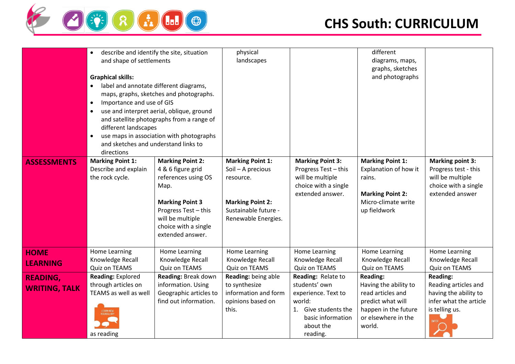

|                                         | describe and identify the site, situation<br>$\bullet$<br>and shape of settlements<br><b>Graphical skills:</b><br>label and annotate different diagrams,<br>$\bullet$<br>Importance and use of GIS<br>$\bullet$<br>$\bullet$<br>different landscapes<br>$\bullet$<br>and sketches and understand links to<br>directions | maps, graphs, sketches and photographs.<br>use and interpret aerial, oblique, ground<br>and satellite photographs from a range of<br>use maps in association with photographs                 | physical<br>landscapes                                                                                                              |                                                                                                                                               | different<br>diagrams, maps,<br>graphs, sketches<br>and photographs                                                                         |                                                                                                                              |
|-----------------------------------------|-------------------------------------------------------------------------------------------------------------------------------------------------------------------------------------------------------------------------------------------------------------------------------------------------------------------------|-----------------------------------------------------------------------------------------------------------------------------------------------------------------------------------------------|-------------------------------------------------------------------------------------------------------------------------------------|-----------------------------------------------------------------------------------------------------------------------------------------------|---------------------------------------------------------------------------------------------------------------------------------------------|------------------------------------------------------------------------------------------------------------------------------|
| <b>ASSESSMENTS</b>                      | <b>Marking Point 1:</b><br>Describe and explain<br>the rock cycle.                                                                                                                                                                                                                                                      | <b>Marking Point 2:</b><br>4 & 6 figure grid<br>references using OS<br>Map.<br><b>Marking Point 3</b><br>Progress Test - this<br>will be multiple<br>choice with a single<br>extended answer. | <b>Marking Point 1:</b><br>Soil - A precious<br>resource.<br><b>Marking Point 2:</b><br>Sustainable future -<br>Renewable Energies. | <b>Marking Point 3:</b><br>Progress Test - this<br>will be multiple<br>choice with a single<br>extended answer.                               | <b>Marking Point 1:</b><br>Explanation of how it<br>rains.<br><b>Marking Point 2:</b><br>Micro-climate write<br>up fieldwork                | <b>Marking point 3:</b><br>Progress test - this<br>will be multiple<br>choice with a single<br>extended answer               |
| <b>HOME</b><br><b>LEARNING</b>          | Home Learning<br>Knowledge Recall<br>Quiz on TEAMS                                                                                                                                                                                                                                                                      | <b>Home Learning</b><br>Knowledge Recall<br>Quiz on TEAMS                                                                                                                                     | Home Learning<br>Knowledge Recall<br>Quiz on TEAMS                                                                                  | Home Learning<br>Knowledge Recall<br>Quiz on TEAMS                                                                                            | Home Learning<br>Knowledge Recall<br>Quiz on TEAMS                                                                                          | Home Learning<br>Knowledge Recall<br>Quiz on TEAMS                                                                           |
| <b>READING,</b><br><b>WRITING, TALK</b> | Reading: Explored<br>through articles on<br>TEAMS as well as well<br>LEARN NE<br>as reading                                                                                                                                                                                                                             | Reading: Break down<br>information. Using<br>Geographic articles to<br>find out information.                                                                                                  | Reading: being able<br>to synthesize<br>information and form<br>opinions based on<br>this.                                          | Reading: Relate to<br>students' own<br>experience. Text to<br>world:<br>Give students the<br>1.<br>basic information<br>about the<br>reading. | <b>Reading:</b><br>Having the ability to<br>read articles and<br>predict what will<br>happen in the future<br>or elsewhere in the<br>world. | <b>Reading:</b><br>Reading articles and<br>having the ability to<br>infer what the article<br>is telling us.<br><b>INFER</b> |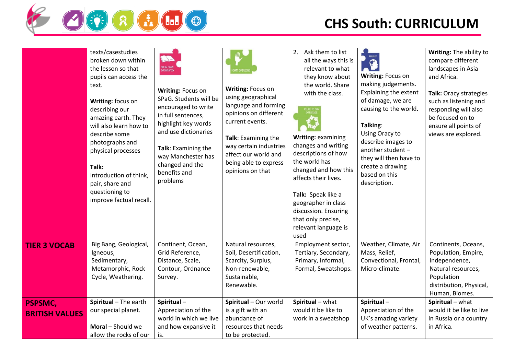

|                                         | texts/casestudies<br>broken down within<br>the lesson so that<br>pupils can access the<br>text.<br>Writing: focus on<br>describing our<br>amazing earth. They<br>will also learn how to<br>describe some<br>photographs and<br>physical processes<br>Talk:<br>Introduction of think,<br>pair, share and<br>questioning to<br>improve factual recall. | N<br>BREAK DOWN<br>INFORMATION<br>Writing: Focus on<br>SPaG. Students will be<br>encouraged to write<br>in full sentences,<br>highlight key words<br>and use dictionaries<br>Talk: Examining the<br>way Manchester has<br>changed and the<br>benefits and<br>problems | Writing: Focus on<br>using geographical<br>language and forming<br>opinions on different<br>current events.<br>Talk: Examining the<br>way certain industries<br>affect our world and<br>being able to express<br>opinions on that | 2. Ask them to list<br>all the ways this is<br>relevant to what<br>they know about<br>the world. Share<br>with the class.<br>Writing: examining<br>changes and writing<br>descriptions of how<br>the world has<br>changed and how this<br>affects their lives.<br>Talk: Speak like a<br>geographer in class<br>discussion. Ensuring<br>that only precise,<br>relevant language is<br>used | PREDICT<br>$\mathbf{Q}$<br>Writing: Focus on<br>making judgements.<br>Explaining the extent<br>of damage, we are<br>causing to the world.<br>Talking:<br>Using Oracy to<br>describe images to<br>another student -<br>they will then have to<br>create a drawing<br>based on this<br>description. | Writing: The ability to<br>compare different<br>landscapes in Asia<br>and Africa.<br>Talk: Oracy strategies<br>such as listening and<br>responding will also<br>be focused on to<br>ensure all points of<br>views are explored. |
|-----------------------------------------|------------------------------------------------------------------------------------------------------------------------------------------------------------------------------------------------------------------------------------------------------------------------------------------------------------------------------------------------------|-----------------------------------------------------------------------------------------------------------------------------------------------------------------------------------------------------------------------------------------------------------------------|-----------------------------------------------------------------------------------------------------------------------------------------------------------------------------------------------------------------------------------|-------------------------------------------------------------------------------------------------------------------------------------------------------------------------------------------------------------------------------------------------------------------------------------------------------------------------------------------------------------------------------------------|---------------------------------------------------------------------------------------------------------------------------------------------------------------------------------------------------------------------------------------------------------------------------------------------------|---------------------------------------------------------------------------------------------------------------------------------------------------------------------------------------------------------------------------------|
| <b>TIER 3 VOCAB</b>                     | Big Bang, Geological,<br>Igneous,<br>Sedimentary,<br>Metamorphic, Rock<br>Cycle, Weathering.                                                                                                                                                                                                                                                         | Continent, Ocean,<br>Grid Reference,<br>Distance, Scale,<br>Contour, Ordnance<br>Survey.                                                                                                                                                                              | Natural resources,<br>Soil, Desertification,<br>Scarcity, Surplus,<br>Non-renewable,<br>Sustainable,<br>Renewable.                                                                                                                | Employment sector,<br>Tertiary, Secondary,<br>Primary, Informal,<br>Formal, Sweatshops.                                                                                                                                                                                                                                                                                                   | Weather, Climate, Air<br>Mass, Relief,<br>Convectional, Frontal,<br>Micro-climate.                                                                                                                                                                                                                | Continents, Oceans,<br>Population, Empire,<br>Independence,<br>Natural resources,<br>Population<br>distribution, Physical,<br>Human, Biomes.                                                                                    |
| <b>PSPSMC,</b><br><b>BRITISH VALUES</b> | Spiritual - The earth<br>our special planet.<br>Moral - Should we<br>allow the rocks of our                                                                                                                                                                                                                                                          | Spiritual-<br>Appreciation of the<br>world in which we live<br>and how expansive it<br>is.                                                                                                                                                                            | Spiritual - Our world<br>is a gift with an<br>abundance of<br>resources that needs<br>to be protected.                                                                                                                            | Spiritual - what<br>would it be like to<br>work in a sweatshop                                                                                                                                                                                                                                                                                                                            | Spiritual-<br>Appreciation of the<br>UK's amazing variety<br>of weather patterns.                                                                                                                                                                                                                 | Spiritual - what<br>would it be like to live<br>in Russia or a country<br>in Africa.                                                                                                                                            |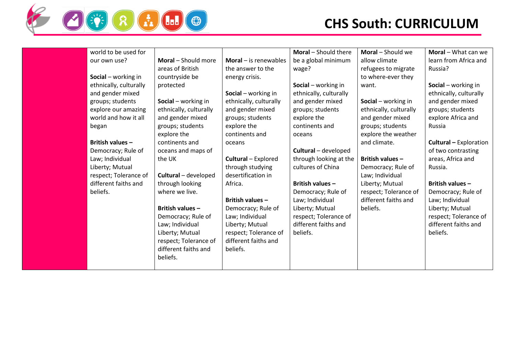

| world to be used for    |                        |                                | Moral - Should there   | Moral - Should we       | Moral - What can we           |
|-------------------------|------------------------|--------------------------------|------------------------|-------------------------|-------------------------------|
| our own use?            | Moral - Should more    | <b>Moral</b> $-$ is renewables | be a global minimum    | allow climate           | learn from Africa and         |
|                         | areas of British       | the answer to the              | wage?                  | refugees to migrate     | Russia?                       |
| Social - working in     | countryside be         | energy crisis.                 |                        | to where-ever they      |                               |
| ethnically, culturally  | protected              |                                | Social - working in    | want.                   | Social - working in           |
| and gender mixed        |                        | Social - working in            | ethnically, culturally |                         | ethnically, culturally        |
| groups; students        | Social - working in    | ethnically, culturally         | and gender mixed       | Social - working in     | and gender mixed              |
| explore our amazing     | ethnically, culturally | and gender mixed               | groups; students       | ethnically, culturally  | groups; students              |
| world and how it all    | and gender mixed       | groups; students               | explore the            | and gender mixed        | explore Africa and            |
| began                   | groups; students       | explore the                    | continents and         | groups; students        | Russia                        |
|                         | explore the            | continents and                 | oceans                 | explore the weather     |                               |
| <b>British values -</b> | continents and         | oceans                         |                        | and climate.            | <b>Cultural - Exploration</b> |
| Democracy; Rule of      | oceans and maps of     |                                | Cultural - developed   |                         | of two contrasting            |
| Law; Individual         | the UK                 | Cultural - Explored            | through looking at the | <b>British values -</b> | areas, Africa and             |
| Liberty; Mutual         |                        | through studying               | cultures of China      | Democracy; Rule of      | Russia.                       |
| respect; Tolerance of   | Cultural - developed   | desertification in             |                        | Law; Individual         |                               |
| different faiths and    | through looking        | Africa.                        | British values-        | Liberty; Mutual         | British values -              |
| beliefs.                | where we live.         |                                | Democracy; Rule of     | respect; Tolerance of   | Democracy; Rule of            |
|                         |                        | British values -               | Law; Individual        | different faiths and    | Law; Individual               |
|                         | British values -       | Democracy; Rule of             | Liberty; Mutual        | beliefs.                | Liberty; Mutual               |
|                         | Democracy; Rule of     | Law; Individual                | respect; Tolerance of  |                         | respect; Tolerance of         |
|                         | Law; Individual        | Liberty; Mutual                | different faiths and   |                         | different faiths and          |
|                         | Liberty; Mutual        | respect; Tolerance of          | beliefs.               |                         | beliefs.                      |
|                         | respect; Tolerance of  | different faiths and           |                        |                         |                               |
|                         | different faiths and   | beliefs.                       |                        |                         |                               |
|                         | beliefs.               |                                |                        |                         |                               |
|                         |                        |                                |                        |                         |                               |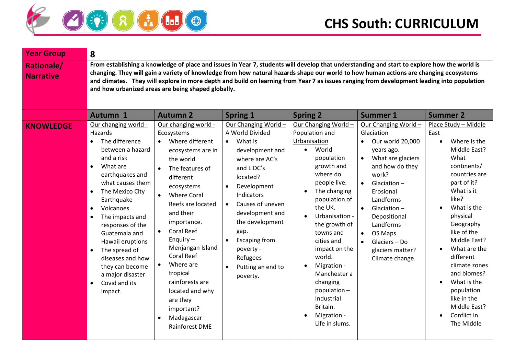

| From establishing a knowledge of place and issues in Year 7, students will develop that understanding and start to explore how the world is<br><b>Rationale/</b><br>changing. They will gain a variety of knowledge from how natural hazards shape our world to how human actions are changing ecosystems<br><b>Narrative</b><br>and climates. They will explore in more depth and build on learning from Year 7 as issues ranging from development leading into population<br>and how urbanized areas are being shaped globally.<br><b>Autumn 1</b><br><b>Autumn 2</b><br><b>Spring 2</b><br><b>Summer 2</b><br><b>Spring 1</b><br><b>Summer 1</b><br>Our changing world -<br>Our changing world -<br>Our Changing World -<br>Our Changing World -<br>Our Changing World -<br>Place Study - Middle<br><b>KNOWLEDGE</b><br>A World Divided<br>Population and<br>Hazards<br>Ecosystems<br>Glaciation<br>East<br>The difference<br>Where different<br>What is<br>Urbanisation<br>Our world 20,000<br>Where is the<br>$\bullet$<br>$\bullet$<br>$\bullet$<br>$\bullet$<br>$\bullet$<br>between a hazard<br>World<br>Middle East?<br>$\bullet$<br>years ago.<br>development and<br>ecosystems are in<br>What<br>and a risk<br>What are glaciers<br>population<br>the world<br>where are AC's<br>growth and<br>continents/<br>and how do they<br>What are<br>$\bullet$<br>and LIDC's<br>The features of<br>where do<br>work?<br>countries are<br>earthquakes and<br>different<br>located?<br>part of it?<br>what causes them<br>people live.<br>Glaciation $-$<br>$\bullet$<br>Development<br>ecosystems<br>$\bullet$<br>What is it<br>The Mexico City<br>The changing<br>Erosional<br>$\bullet$<br><b>Where Coral</b><br><b>Indicators</b><br>$\bullet$<br>like?<br>population of<br>Landforms<br>Earthquake<br>Causes of uneven<br>Reefs are located<br>$\bullet$<br>the UK.<br>What is the<br>Volcanoes<br>$\bullet$<br>Glaciation $-$<br>$\bullet$<br>$\bullet$<br>and their<br>development and<br>physical<br>Urbanisation -<br>Depositional<br>The impacts and<br>$\bullet$<br>the development<br>importance.<br>Geography<br>the growth of<br>Landforms<br>responses of the<br><b>Coral Reef</b><br>gap.<br>like of the<br>towns and<br>Guatemala and<br>OS Maps<br>$\bullet$<br>Enquiry $-$<br><b>Escaping from</b><br>Middle East?<br>cities and<br>Hawaii eruptions<br>Glaciers - Do<br>$\bullet$<br>Menjangan Island<br>impact on the<br>What are the<br>poverty -<br>$\bullet$<br>The spread of<br>glaciers matter?<br>$\bullet$<br><b>Coral Reef</b><br>different<br>world.<br>Refugees<br>diseases and how<br>Climate change.<br>Where are<br>climate zones<br>Migration -<br>they can become<br>Putting an end to<br>$\bullet$<br>and biomes?<br>tropical<br>Manchester a<br>a major disaster<br>poverty.<br>What is the<br>rainforests are<br>changing<br>Covid and its<br>$\bullet$<br>$\bullet$<br>population-<br>population<br>located and why<br>impact.<br>Industrial<br>like in the<br>are they<br>Middle East?<br>Britain.<br>important?<br>Conflict in<br>Migration -<br>$\bullet$<br>Madagascar<br>$\bullet$<br>Life in slums.<br>The Middle<br>Rainforest DME | <b>Year Group</b> | 8 |  |  |  |
|------------------------------------------------------------------------------------------------------------------------------------------------------------------------------------------------------------------------------------------------------------------------------------------------------------------------------------------------------------------------------------------------------------------------------------------------------------------------------------------------------------------------------------------------------------------------------------------------------------------------------------------------------------------------------------------------------------------------------------------------------------------------------------------------------------------------------------------------------------------------------------------------------------------------------------------------------------------------------------------------------------------------------------------------------------------------------------------------------------------------------------------------------------------------------------------------------------------------------------------------------------------------------------------------------------------------------------------------------------------------------------------------------------------------------------------------------------------------------------------------------------------------------------------------------------------------------------------------------------------------------------------------------------------------------------------------------------------------------------------------------------------------------------------------------------------------------------------------------------------------------------------------------------------------------------------------------------------------------------------------------------------------------------------------------------------------------------------------------------------------------------------------------------------------------------------------------------------------------------------------------------------------------------------------------------------------------------------------------------------------------------------------------------------------------------------------------------------------------------------------------------------------------------------------------------------------------------------------------------------------------------------------------------------------------------------------------------------------------------------------------------------------------------------------------------------------------------------------------------------------------------------------------------------------------------------------------------------------------------------------------------------------------------------------------------------------------------------------------------------------------------------------------------------------------------|-------------------|---|--|--|--|
|                                                                                                                                                                                                                                                                                                                                                                                                                                                                                                                                                                                                                                                                                                                                                                                                                                                                                                                                                                                                                                                                                                                                                                                                                                                                                                                                                                                                                                                                                                                                                                                                                                                                                                                                                                                                                                                                                                                                                                                                                                                                                                                                                                                                                                                                                                                                                                                                                                                                                                                                                                                                                                                                                                                                                                                                                                                                                                                                                                                                                                                                                                                                                                                    |                   |   |  |  |  |
|                                                                                                                                                                                                                                                                                                                                                                                                                                                                                                                                                                                                                                                                                                                                                                                                                                                                                                                                                                                                                                                                                                                                                                                                                                                                                                                                                                                                                                                                                                                                                                                                                                                                                                                                                                                                                                                                                                                                                                                                                                                                                                                                                                                                                                                                                                                                                                                                                                                                                                                                                                                                                                                                                                                                                                                                                                                                                                                                                                                                                                                                                                                                                                                    |                   |   |  |  |  |
|                                                                                                                                                                                                                                                                                                                                                                                                                                                                                                                                                                                                                                                                                                                                                                                                                                                                                                                                                                                                                                                                                                                                                                                                                                                                                                                                                                                                                                                                                                                                                                                                                                                                                                                                                                                                                                                                                                                                                                                                                                                                                                                                                                                                                                                                                                                                                                                                                                                                                                                                                                                                                                                                                                                                                                                                                                                                                                                                                                                                                                                                                                                                                                                    |                   |   |  |  |  |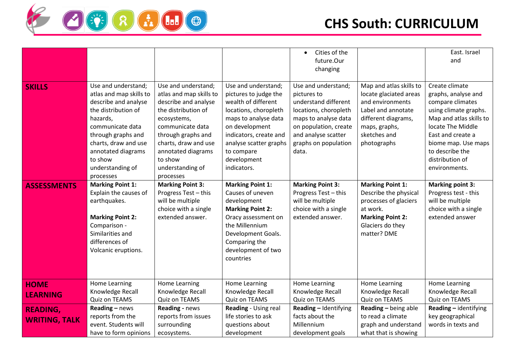

|                      |                         |                         |                         | Cities of the<br>$\bullet$ |                         | East. Israel            |
|----------------------|-------------------------|-------------------------|-------------------------|----------------------------|-------------------------|-------------------------|
|                      |                         |                         |                         | future.Our                 |                         | and                     |
|                      |                         |                         |                         | changing                   |                         |                         |
|                      |                         |                         |                         |                            |                         |                         |
| <b>SKILLS</b>        | Use and understand;     | Use and understand;     | Use and understand;     | Use and understand;        | Map and atlas skills to | Create climate          |
|                      | atlas and map skills to | atlas and map skills to | pictures to judge the   | pictures to                | locate glaciated areas  | graphs, analyse and     |
|                      | describe and analyse    | describe and analyse    | wealth of different     | understand different       | and environments        | compare climates        |
|                      | the distribution of     | the distribution of     | locations, choropleth   | locations, choropleth      | Label and annotate      | using climate graphs.   |
|                      | hazards,                | ecosystems,             | maps to analyse data    | maps to analyse data       | different diagrams,     | Map and atlas skills to |
|                      | communicate data        | communicate data        | on development          | on population, create      | maps, graphs,           | locate The Middle       |
|                      | through graphs and      | through graphs and      | indicators, create and  | and analyse scatter        | sketches and            | East and create a       |
|                      | charts, draw and use    | charts, draw and use    | analyse scatter graphs  | graphs on population       | photographs             | biome map. Use maps     |
|                      | annotated diagrams      | annotated diagrams      | to compare              | data.                      |                         | to describe the         |
|                      | to show                 | to show                 | development             |                            |                         | distribution of         |
|                      | understanding of        | understanding of        | indicators.             |                            |                         | environments.           |
|                      | processes               | processes               |                         |                            |                         |                         |
| <b>ASSESSMENTS</b>   | <b>Marking Point 1:</b> | <b>Marking Point 3:</b> | <b>Marking Point 1:</b> | <b>Marking Point 3:</b>    | <b>Marking Point 1:</b> | <b>Marking point 3:</b> |
|                      | Explain the causes of   | Progress Test - this    | Causes of uneven        | Progress Test - this       | Describe the physical   | Progress test - this    |
|                      | earthquakes.            | will be multiple        | development             | will be multiple           | processes of glaciers   | will be multiple        |
|                      |                         | choice with a single    | <b>Marking Point 2:</b> | choice with a single       | at work.                | choice with a single    |
|                      | <b>Marking Point 2:</b> | extended answer.        | Oracy assessment on     | extended answer.           | <b>Marking Point 2:</b> | extended answer         |
|                      | Comparison -            |                         | the Millennium          |                            | Glaciers do they        |                         |
|                      | Similarities and        |                         | Development Goals.      |                            | matter? DME             |                         |
|                      | differences of          |                         | Comparing the           |                            |                         |                         |
|                      | Volcanic eruptions.     |                         | development of two      |                            |                         |                         |
|                      |                         |                         | countries               |                            |                         |                         |
|                      |                         |                         |                         |                            |                         |                         |
|                      |                         |                         |                         |                            |                         |                         |
| <b>HOME</b>          | Home Learning           | Home Learning           | Home Learning           | Home Learning              | Home Learning           | Home Learning           |
| <b>LEARNING</b>      | Knowledge Recall        | Knowledge Recall        | Knowledge Recall        | Knowledge Recall           | Knowledge Recall        | Knowledge Recall        |
|                      | Quiz on TEAMS           | Quiz on TEAMS           | Quiz on TEAMS           | Quiz on TEAMS              | Quiz on TEAMS           | Quiz on TEAMS           |
| <b>READING,</b>      | Reading - news          | Reading - news          | Reading - Using real    | Reading - Identifying      | Reading - being able    | Reading - identifying   |
| <b>WRITING, TALK</b> | reports from the        | reports from issues     | life stories to ask     | facts about the            | to read a climate       | key geographical        |
|                      | event. Students will    | surrounding             | questions about         | Millennium                 | graph and understand    | words in texts and      |
|                      | have to form opinions   | ecosystems.             | development             | development goals          | what that is showing    |                         |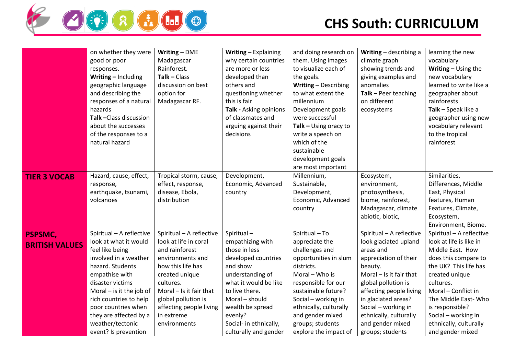

|                                         | on whether they were<br>good or poor<br>responses.<br>Writing - Including<br>geographic language<br>and describing the<br>responses of a natural<br>hazards<br>Talk-Class discussion<br>about the successes<br>of the responses to a<br>natural hazard                                                       | Writing - DME<br>Madagascar<br>Rainforest.<br>$Talk - Class$<br>discussion on best<br>option for<br>Madagascar RF.                                                                                                                                       | Writing - Explaining<br>why certain countries<br>are more or less<br>developed than<br>others and<br>questioning whether<br>this is fair<br>Talk - Asking opinions<br>of classmates and<br>arguing against their<br>decisions                         | and doing research on<br>them. Using images<br>to visualize each of<br>the goals.<br>Writing - Describing<br>to what extent the<br>millennium<br>Development goals<br>were successful<br>Talk $-$ Using oracy to<br>write a speech on<br>which of the<br>sustainable<br>development goals<br>are most important | Writing - describing a<br>climate graph<br>showing trends and<br>giving examples and<br>anomalies<br>$Talk - Peer teaching$<br>on different<br>ecosystems                                                                                                                                       | learning the new<br>vocabulary<br>Writing $-$ Using the<br>new vocabulary<br>learned to write like a<br>geographer about<br>rainforests<br>Talk - Speak like a<br>geographer using new<br>vocabulary relevant<br>to the tropical<br>rainforest                                                |
|-----------------------------------------|--------------------------------------------------------------------------------------------------------------------------------------------------------------------------------------------------------------------------------------------------------------------------------------------------------------|----------------------------------------------------------------------------------------------------------------------------------------------------------------------------------------------------------------------------------------------------------|-------------------------------------------------------------------------------------------------------------------------------------------------------------------------------------------------------------------------------------------------------|-----------------------------------------------------------------------------------------------------------------------------------------------------------------------------------------------------------------------------------------------------------------------------------------------------------------|-------------------------------------------------------------------------------------------------------------------------------------------------------------------------------------------------------------------------------------------------------------------------------------------------|-----------------------------------------------------------------------------------------------------------------------------------------------------------------------------------------------------------------------------------------------------------------------------------------------|
| <b>TIER 3 VOCAB</b>                     | Hazard, cause, effect,<br>response,<br>earthquake, tsunami,<br>volcanoes                                                                                                                                                                                                                                     | Tropical storm, cause,<br>effect, response,<br>disease, Ebola,<br>distribution                                                                                                                                                                           | Development,<br>Economic, Advanced<br>country                                                                                                                                                                                                         | Millennium,<br>Sustainable,<br>Development,<br>Economic, Advanced<br>country                                                                                                                                                                                                                                    | Ecosystem,<br>environment,<br>photosynthesis,<br>biome, rainforest,<br>Madagascar, climate<br>abiotic, biotic,                                                                                                                                                                                  | Similarities,<br>Differences, Middle<br>East, Physical<br>features, Human<br>Features, Climate,<br>Ecosystem,<br>Environment, Biome.                                                                                                                                                          |
| <b>PSPSMC,</b><br><b>BRITISH VALUES</b> | Spiritual - A reflective<br>look at what it would<br>feel like being<br>involved in a weather<br>hazard. Students<br>empathise with<br>disaster victims<br>Moral $-$ is it the job of<br>rich countries to help<br>poor countries when<br>they are affected by a<br>weather/tectonic<br>event? Is prevention | Spiritual - A reflective<br>look at life in coral<br>and rainforest<br>environments and<br>how this life has<br>created unique<br>cultures.<br>Moral $-$ Is it fair that<br>global pollution is<br>affecting people living<br>in extreme<br>environments | Spiritual-<br>empathizing with<br>those in less<br>developed countries<br>and show<br>understanding of<br>what it would be like<br>to live there.<br>Moral - should<br>wealth be spread<br>evenly?<br>Social- in ethnically,<br>culturally and gender | Spiritual - To<br>appreciate the<br>challenges and<br>opportunities in slum<br>districts.<br>Moral - Who is<br>responsible for our<br>sustainable future?<br>Social - working in<br>ethnically, culturally<br>and gender mixed<br>groups; students<br>explore the impact of                                     | Spiritual - A reflective<br>look glaciated upland<br>areas and<br>appreciation of their<br>beauty.<br>Moral - Is it fair that<br>global pollution is<br>affecting people living<br>in glaciated areas?<br>Social - working in<br>ethnically, culturally<br>and gender mixed<br>groups; students | Spiritual - A reflective<br>look at life is like in<br>Middle East. How<br>does this compare to<br>the UK? This life has<br>created unique<br>cultures.<br>Moral - Conflict in<br>The Middle East-Who<br>is responsible?<br>Social - working in<br>ethnically, culturally<br>and gender mixed |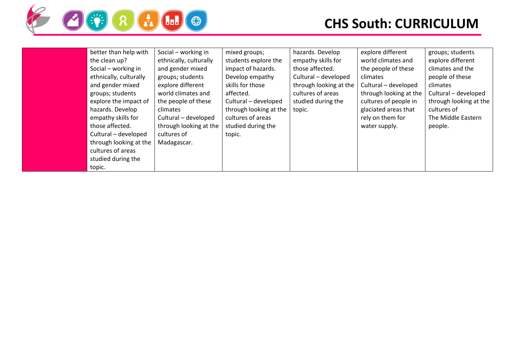

| better than help with  | Social - working in    | mixed groups;          | hazards. Develop       | explore different      | groups; students       |
|------------------------|------------------------|------------------------|------------------------|------------------------|------------------------|
| the clean up?          | ethnically, culturally | students explore the   | empathy skills for     | world climates and     | explore different      |
| Social – working in    | and gender mixed       | impact of hazards.     | those affected.        | the people of these    | climates and the       |
| ethnically, culturally | groups; students       | Develop empathy        | Cultural - developed   | climates               | people of these        |
| and gender mixed       | explore different      | skills for those       | through looking at the | Cultural - developed   | climates               |
| groups; students       | world climates and     | affected.              | cultures of areas      | through looking at the | Cultural - developed   |
| explore the impact of  | the people of these    | Cultural - developed   | studied during the     | cultures of people in  | through looking at the |
| hazards. Develop       | climates               | through looking at the | topic.                 | glaciated areas that   | cultures of            |
| empathy skills for     | Cultural - developed   | cultures of areas      |                        | rely on them for       | The Middle Eastern     |
| those affected.        | through looking at the | studied during the     |                        | water supply.          | people.                |
| Cultural - developed   | cultures of            | topic.                 |                        |                        |                        |
| through looking at the | Madagascar.            |                        |                        |                        |                        |
| cultures of areas      |                        |                        |                        |                        |                        |
| studied during the     |                        |                        |                        |                        |                        |
| topic.                 |                        |                        |                        |                        |                        |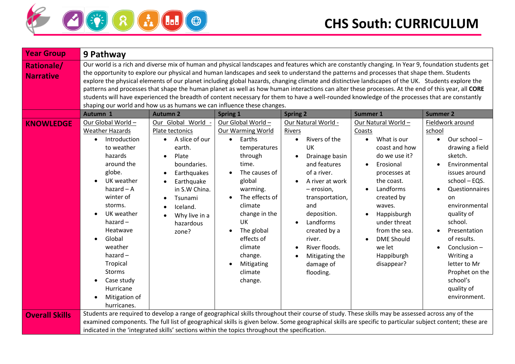

| <b>Year Group</b>                     | 9 Pathway                                                                                                                                                                                                                                                                                                                                           |                                                                                                                                                                                                                                                                                                                                                                                                                                                                                                                                                                                                                                                                                                                                                                                                                                       |                                                                                                                                                                                                                                                                                            |                                                                                                                                                                                                                                                                                                                 |                                                                                                                                                                                                                                                                                                              |                                                                                                                                                                                                                                                                                                                                                  |
|---------------------------------------|-----------------------------------------------------------------------------------------------------------------------------------------------------------------------------------------------------------------------------------------------------------------------------------------------------------------------------------------------------|---------------------------------------------------------------------------------------------------------------------------------------------------------------------------------------------------------------------------------------------------------------------------------------------------------------------------------------------------------------------------------------------------------------------------------------------------------------------------------------------------------------------------------------------------------------------------------------------------------------------------------------------------------------------------------------------------------------------------------------------------------------------------------------------------------------------------------------|--------------------------------------------------------------------------------------------------------------------------------------------------------------------------------------------------------------------------------------------------------------------------------------------|-----------------------------------------------------------------------------------------------------------------------------------------------------------------------------------------------------------------------------------------------------------------------------------------------------------------|--------------------------------------------------------------------------------------------------------------------------------------------------------------------------------------------------------------------------------------------------------------------------------------------------------------|--------------------------------------------------------------------------------------------------------------------------------------------------------------------------------------------------------------------------------------------------------------------------------------------------------------------------------------------------|
| <b>Rationale/</b><br><b>Narrative</b> |                                                                                                                                                                                                                                                                                                                                                     | Our world is a rich and diverse mix of human and physical landscapes and features which are constantly changing. In Year 9, foundation students get<br>the opportunity to explore our physical and human landscapes and seek to understand the patterns and processes that shape them. Students<br>explore the physical elements of our planet including global hazards, changing climate and distinctive landscapes of the UK. Students explore the<br>patterns and processes that shape the human planet as well as how human interactions can alter these processes. At the end of this year, all CORE<br>students will have experienced the breadth of content necessary for them to have a well-rounded knowledge of the processes that are constantly<br>shaping our world and how us as humans we can influence these changes. |                                                                                                                                                                                                                                                                                            |                                                                                                                                                                                                                                                                                                                 |                                                                                                                                                                                                                                                                                                              |                                                                                                                                                                                                                                                                                                                                                  |
|                                       | Autumn 1                                                                                                                                                                                                                                                                                                                                            | <b>Autumn 2</b>                                                                                                                                                                                                                                                                                                                                                                                                                                                                                                                                                                                                                                                                                                                                                                                                                       | <b>Spring 1</b>                                                                                                                                                                                                                                                                            | <b>Spring 2</b>                                                                                                                                                                                                                                                                                                 | Summer 1                                                                                                                                                                                                                                                                                                     | <b>Summer 2</b>                                                                                                                                                                                                                                                                                                                                  |
| <b>KNOWLEDGE</b>                      | Our Global World -<br><b>Weather Hazards</b><br>Introduction<br>$\bullet$<br>to weather<br>hazards<br>around the<br>globe.<br>UK weather<br>hazard $-$ A<br>winter of<br>storms.<br>UK weather<br>hazard $-$<br>Heatwave<br>Global<br>weather<br>hazard $-$<br>Tropical<br><b>Storms</b><br>Case study<br>Hurricane<br>Mitigation of<br>hurricanes. | Our Global World -<br>Plate tectonics<br>A slice of our<br>$\bullet$<br>earth.<br>Plate<br>$\bullet$<br>boundaries.<br>Earthquakes<br>Earthquake<br>$\bullet$<br>in S.W China.<br>Tsunami<br>Iceland.<br>Why live in a<br>hazardous<br>zone?                                                                                                                                                                                                                                                                                                                                                                                                                                                                                                                                                                                          | Our Global World -<br><b>Our Warming World</b><br>Earths<br>$\bullet$<br>temperatures<br>through<br>time.<br>The causes of<br>global<br>warming.<br>The effects of<br>climate<br>change in the<br>UK<br>The global<br>effects of<br>climate<br>change.<br>Mitigating<br>climate<br>change. | Our Natural World -<br>Rivers<br>Rivers of the<br>$\bullet$<br>UK<br>Drainage basin<br>and features<br>of a river.<br>A river at work<br>$-$ erosion,<br>transportation,<br>and<br>deposition.<br>Landforms<br>$\bullet$<br>created by a<br>river.<br>River floods.<br>Mitigating the<br>damage of<br>flooding. | Our Natural World -<br>Coasts<br>What is our<br>$\bullet$<br>coast and how<br>do we use it?<br>Erosional<br>processes at<br>the coast.<br>Landforms<br>$\bullet$<br>created by<br>waves.<br>Happisburgh<br>under threat<br>from the sea.<br><b>DME Should</b><br>we let<br>Happiburgh<br>disappear?          | Fieldwork around<br>school<br>Our school-<br>$\bullet$<br>drawing a field<br>sketch.<br>Environmental<br>issues around<br>school - EQS.<br>Questionnaires<br>on<br>environmental<br>quality of<br>school.<br>Presentation<br>of results.<br>Conclusion-<br>Writing a<br>letter to Mr<br>Prophet on the<br>school's<br>quality of<br>environment. |
| <b>Overall Skills</b>                 |                                                                                                                                                                                                                                                                                                                                                     |                                                                                                                                                                                                                                                                                                                                                                                                                                                                                                                                                                                                                                                                                                                                                                                                                                       | indicated in the 'integrated skills' sections within the topics throughout the specification.                                                                                                                                                                                              |                                                                                                                                                                                                                                                                                                                 | Students are required to develop a range of geographical skills throughout their course of study. These skills may be assessed across any of the<br>examined components. The full list of geographical skills is given below. Some geographical skills are specific to particular subject content; these are |                                                                                                                                                                                                                                                                                                                                                  |
|                                       |                                                                                                                                                                                                                                                                                                                                                     |                                                                                                                                                                                                                                                                                                                                                                                                                                                                                                                                                                                                                                                                                                                                                                                                                                       |                                                                                                                                                                                                                                                                                            |                                                                                                                                                                                                                                                                                                                 |                                                                                                                                                                                                                                                                                                              |                                                                                                                                                                                                                                                                                                                                                  |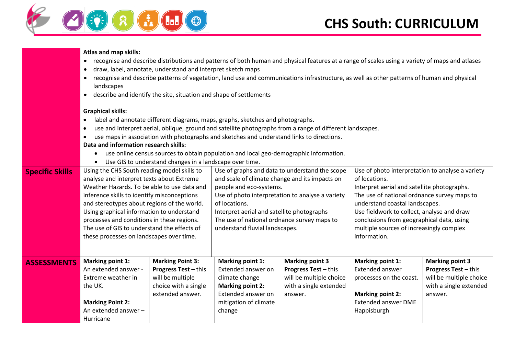



|  |  |  | Atlas and map skills: |
|--|--|--|-----------------------|
|--|--|--|-----------------------|

- recognise and describe distributions and patterns of both human and physical features at a range of scales using a variety of maps and atlases
- draw, label, annotate, understand and interpret sketch maps
- recognise and describe patterns of vegetation, land use and communications infrastructure, as well as other patterns of human and physical landscapes
- describe and identify the site, situation and shape of settlements

#### **Graphical skills:**

- label and annotate different diagrams, maps, graphs, sketches and photographs.
- use and interpret aerial, oblique, ground and satellite photographs from a range of different landscapes.
- use maps in association with photographs and sketches and understand links to directions.

#### **Data and information research skills:**

- use online census sources to obtain population and local geo-demographic information.
- Use GIS to understand changes in a landscape over time.

| <b>Specific Skills</b> | Using the CHS South reading model skills to |                             |                                                  | Use of graphs and data to understand the scope | Use of photo interpretation to analyse a variety |                             |
|------------------------|---------------------------------------------|-----------------------------|--------------------------------------------------|------------------------------------------------|--------------------------------------------------|-----------------------------|
|                        | analyse and interpret texts about Extreme   |                             | and scale of climate change and its impacts on   |                                                | of locations.                                    |                             |
|                        | Weather Hazards. To be able to use data and |                             | people and eco-systems.                          |                                                | Interpret aerial and satellite photographs.      |                             |
|                        | inference skills to identify misconceptions |                             | Use of photo interpretation to analyse a variety |                                                | The use of national ordnance survey maps to      |                             |
|                        | and stereotypes about regions of the world. |                             | of locations.                                    |                                                | understand coastal landscapes.                   |                             |
|                        | Using graphical information to understand   |                             | Interpret aerial and satellite photographs       |                                                | Use fieldwork to collect, analyse and draw       |                             |
|                        | processes and conditions in these regions.  |                             | The use of national ordnance survey maps to      |                                                | conclusions from geographical data, using        |                             |
|                        | The use of GIS to understand the effects of |                             | understand fluvial landscapes.                   |                                                | multiple sources of increasingly complex         |                             |
|                        | these processes on landscapes over time.    |                             |                                                  |                                                | information.                                     |                             |
|                        |                                             |                             |                                                  |                                                |                                                  |                             |
|                        |                                             |                             |                                                  |                                                |                                                  |                             |
| <b>ASSESSMENTS</b>     | Marking point 1:                            | <b>Marking Point 3:</b>     | Marking point 1:                                 | <b>Marking point 3</b>                         | Marking point 1:                                 | <b>Marking point 3</b>      |
|                        | An extended answer -                        | <b>Progress Test - this</b> | Extended answer on                               | <b>Progress Test</b> – this                    | <b>Extended answer</b>                           | <b>Progress Test - this</b> |
|                        | Extreme weather in                          | will be multiple            | climate change                                   | will be multiple choice                        | processes on the coast.                          | will be multiple choice     |
|                        | the UK.                                     | choice with a single        | Marking point 2:                                 | with a single extended                         |                                                  | with a single extended      |
|                        |                                             | extended answer.            | Extended answer on                               | answer.                                        | <b>Marking point 2:</b>                          | answer.                     |
|                        | <b>Marking Point 2:</b>                     |                             | mitigation of climate                            |                                                | <b>Extended answer DME</b>                       |                             |
|                        | An extended answer -                        |                             | change                                           |                                                | Happisburgh                                      |                             |
|                        | Hurricane                                   |                             |                                                  |                                                |                                                  |                             |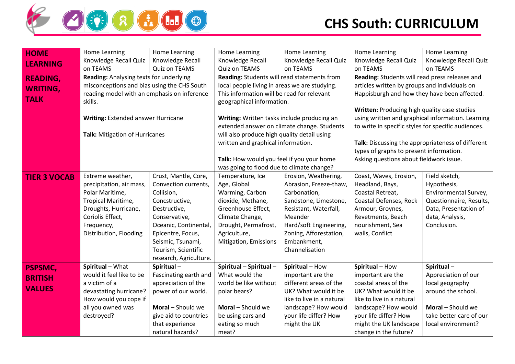

| <b>HOME</b>         | Home Learning                                          | Home Learning          | Home Learning                                 | Home Learning                               | Home Learning                                       | Home Learning           |
|---------------------|--------------------------------------------------------|------------------------|-----------------------------------------------|---------------------------------------------|-----------------------------------------------------|-------------------------|
| <b>LEARNING</b>     | Knowledge Recall Quiz                                  | Knowledge Recall       | Knowledge Recall                              | Knowledge Recall Quiz                       | Knowledge Recall Quiz                               | Knowledge Recall Quiz   |
|                     | on TEAMS                                               | Quiz on TEAMS          | Quiz on TEAMS                                 | on TEAMS                                    | on TEAMS                                            | on TEAMS                |
| <b>READING,</b>     | Reading: Analysing texts for underlying                |                        | Reading: Students will read statements from   |                                             | Reading: Students will read press releases and      |                         |
| <b>WRITING,</b>     | misconceptions and bias using the CHS South            |                        | local people living in areas we are studying. |                                             | articles written by groups and individuals on       |                         |
|                     | reading model with an emphasis on inference<br>skills. |                        | This information will be read for relevant    |                                             | Happisburgh and how they have been affected.        |                         |
| <b>TALK</b>         |                                                        |                        | geographical information.                     |                                             |                                                     |                         |
|                     |                                                        |                        |                                               |                                             | Written: Producing high quality case studies        |                         |
|                     | Writing: Extended answer Hurricane                     |                        | Writing: Written tasks include producing an   |                                             | using written and graphical information. Learning   |                         |
|                     |                                                        |                        |                                               | extended answer on climate change. Students | to write in specific styles for specific audiences. |                         |
|                     | Talk: Mitigation of Hurricanes                         |                        | will also produce high quality detail using   |                                             |                                                     |                         |
|                     |                                                        |                        | written and graphical information.            |                                             | Talk: Discussing the appropriateness of different   |                         |
|                     |                                                        |                        |                                               |                                             | types of graphs to present information.             |                         |
|                     |                                                        |                        | Talk: How would you feel if you your home     |                                             | Asking questions about fieldwork issue.             |                         |
|                     |                                                        |                        | was going to flood due to climate change?     |                                             |                                                     |                         |
| <b>TIER 3 VOCAB</b> | Extreme weather,                                       | Crust, Mantle, Core,   | Temperature, Ice                              | Erosion, Weathering,                        | Coast, Waves, Erosion,                              | Field sketch,           |
|                     | precipitation, air mass,                               | Convection currents,   | Age, Global                                   | Abrasion, Freeze-thaw,                      | Headland, Bays,                                     | Hypothesis,             |
|                     | Polar Maritime,                                        | Collision,             | Warming, Carbon                               | Carbonation,                                | Coastal Retreat,                                    | Environmental Survey,   |
|                     | Tropical Maritime,                                     | Concstructive,         | dioxide, Methane,                             | Sandstone, Limestone,                       | Coastal Defenses, Rock                              | Questionnaire, Results, |
|                     | Droughts, Hurricane,                                   | Destructive,           | Greenhouse Effect,                            | Resistant, Waterfall,                       | Armour, Groynes,                                    | Data, Presentation of   |
|                     | Coriolis Effect,                                       | Conservative,          | Climate Change,                               | Meander                                     | Revetments, Beach                                   | data, Analysis,         |
|                     | Frequency,                                             | Oceanic, Continental,  | Drought, Permafrost,                          | Hard/soft Engineering,                      | nourishment, Sea                                    | Conclusion.             |
|                     | Distribution, Flooding                                 | Epicentre, Focus,      | Agriculture,                                  | Zoning, Afforestation,                      | walls, Conflict                                     |                         |
|                     |                                                        | Seismic, Tsunami,      | Mitigation, Emissions                         | Embankment,                                 |                                                     |                         |
|                     |                                                        | Tourism, Scientific    |                                               | Channelisation                              |                                                     |                         |
|                     |                                                        | research, Agriculture. |                                               |                                             |                                                     |                         |
| <b>PSPSMC,</b>      | Spiritual - What                                       | Spiritual-             | Spiritual - Spiritual -                       | Spiritual - How                             | Spiritual - How                                     | Spiritual-              |
| <b>BRITISH</b>      | would it feel like to be                               | Fascinating earth and  | What would the                                | important are the                           | important are the                                   | Appreciation of our     |
|                     | a victim of a                                          | appreciation of the    | world be like without                         | different areas of the                      | coastal areas of the                                | local geography         |
| <b>VALUES</b>       | devastating hurricane?                                 | power of our world.    | polar bears?                                  | UK? What would it be                        | UK? What would it be                                | around the school.      |
|                     | How would you cope if                                  |                        |                                               | like to live in a natural                   | like to live in a natural                           |                         |
|                     | all you owned was                                      | Moral - Should we      | Moral - Should we                             | landscape? How would                        | landscape? How would                                | Moral - Should we       |
|                     | destroyed?                                             | give aid to countries  | be using cars and                             | your life differ? How                       | your life differ? How                               | take better care of our |
|                     |                                                        | that experience        | eating so much                                | might the UK                                | might the UK landscape                              | local environment?      |
|                     |                                                        | natural hazards?       | meat?                                         |                                             | change in the future?                               |                         |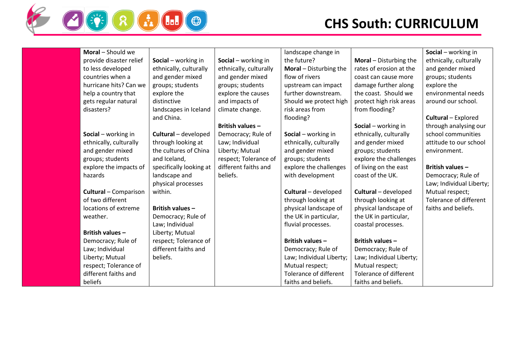

| Moral - Should we            |                         |                        | landscape change in             |                          | Social - working in           |
|------------------------------|-------------------------|------------------------|---------------------------------|--------------------------|-------------------------------|
| provide disaster relief      | Social - working in     | Social - working in    | the future?                     | Moral - Disturbing the   | ethnically, culturally        |
| to less developed            | ethnically, culturally  | ethnically, culturally | <b>Moral</b> $-$ Disturbing the | rates of erosion at the  | and gender mixed              |
| countries when a             | and gender mixed        | and gender mixed       | flow of rivers                  | coast can cause more     | groups; students              |
| hurricane hits? Can we       | groups; students        | groups; students       | upstream can impact             | damage further along     | explore the                   |
| help a country that          | explore the             | explore the causes     | further downstream.             | the coast. Should we     | environmental needs           |
| gets regular natural         | distinctive             | and impacts of         | Should we protect high          | protect high risk areas  | around our school.            |
| disasters?                   | landscapes in Iceland   | climate change.        | risk areas from                 | from flooding?           |                               |
|                              | and China.              |                        | flooding?                       |                          | Cultural - Explored           |
|                              |                         | British values -       |                                 | Social - working in      | through analysing our         |
| Social - working in          | Cultural - developed    | Democracy; Rule of     | Social - working in             | ethnically, culturally   | school communities            |
| ethnically, culturally       | through looking at      | Law; Individual        | ethnically, culturally          | and gender mixed         | attitude to our school        |
| and gender mixed             | the cultures of China   | Liberty; Mutual        | and gender mixed                | groups; students         | environment.                  |
| groups; students             | and Iceland,            | respect; Tolerance of  | groups; students                | explore the challenges   |                               |
| explore the impacts of       | specifically looking at | different faiths and   | explore the challenges          | of living on the east    | <b>British values -</b>       |
| hazards                      | landscape and           | beliefs.               | with development                | coast of the UK.         | Democracy; Rule of            |
|                              | physical processes      |                        |                                 |                          | Law; Individual Liberty;      |
| <b>Cultural</b> - Comparison | within.                 |                        | Cultural - developed            | Cultural - developed     | Mutual respect;               |
| of two different             |                         |                        | through looking at              | through looking at       | <b>Tolerance of different</b> |
| locations of extreme         | <b>British values -</b> |                        | physical landscape of           | physical landscape of    | faiths and beliefs.           |
| weather.                     | Democracy; Rule of      |                        | the UK in particular,           | the UK in particular,    |                               |
|                              | Law; Individual         |                        | fluvial processes.              | coastal processes.       |                               |
| <b>British values -</b>      | Liberty; Mutual         |                        |                                 |                          |                               |
| Democracy; Rule of           | respect; Tolerance of   |                        | <b>British values -</b>         | British values -         |                               |
| Law; Individual              | different faiths and    |                        | Democracy; Rule of              | Democracy; Rule of       |                               |
| Liberty; Mutual              | beliefs.                |                        | Law; Individual Liberty;        | Law; Individual Liberty; |                               |
| respect; Tolerance of        |                         |                        | Mutual respect;                 | Mutual respect;          |                               |
| different faiths and         |                         |                        | Tolerance of different          | Tolerance of different   |                               |
| beliefs                      |                         |                        | faiths and beliefs.             | faiths and beliefs.      |                               |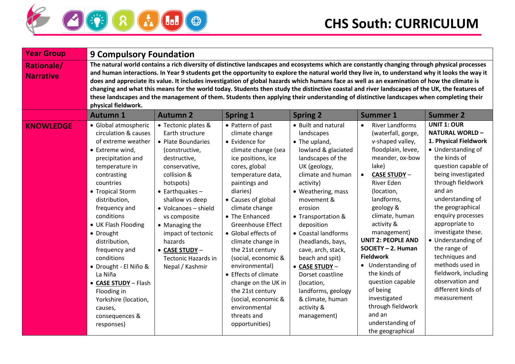

| <b>Year Group</b>                     | <b>9 Compulsory Foundation</b>                                                                                                                                                                                                                                                                                                                                                                                                                                 |                                                                                                                                                                                                                                                                                                                                                         |                                                                                                                                                                                                                                                                                                                                                                                                                                                                                                                  |                                                                                                                                                                                                                                                                                                                                                                                                                                                     |                                                                                                                                                                                                                                                                                                                                                                                                                                                                                                                                                                                                                                                                                                                                              |                                                                                                                                                                                                                                                                                                                                                                                                                                                        |
|---------------------------------------|----------------------------------------------------------------------------------------------------------------------------------------------------------------------------------------------------------------------------------------------------------------------------------------------------------------------------------------------------------------------------------------------------------------------------------------------------------------|---------------------------------------------------------------------------------------------------------------------------------------------------------------------------------------------------------------------------------------------------------------------------------------------------------------------------------------------------------|------------------------------------------------------------------------------------------------------------------------------------------------------------------------------------------------------------------------------------------------------------------------------------------------------------------------------------------------------------------------------------------------------------------------------------------------------------------------------------------------------------------|-----------------------------------------------------------------------------------------------------------------------------------------------------------------------------------------------------------------------------------------------------------------------------------------------------------------------------------------------------------------------------------------------------------------------------------------------------|----------------------------------------------------------------------------------------------------------------------------------------------------------------------------------------------------------------------------------------------------------------------------------------------------------------------------------------------------------------------------------------------------------------------------------------------------------------------------------------------------------------------------------------------------------------------------------------------------------------------------------------------------------------------------------------------------------------------------------------------|--------------------------------------------------------------------------------------------------------------------------------------------------------------------------------------------------------------------------------------------------------------------------------------------------------------------------------------------------------------------------------------------------------------------------------------------------------|
| <b>Rationale/</b><br><b>Narrative</b> | physical fieldwork.                                                                                                                                                                                                                                                                                                                                                                                                                                            |                                                                                                                                                                                                                                                                                                                                                         |                                                                                                                                                                                                                                                                                                                                                                                                                                                                                                                  |                                                                                                                                                                                                                                                                                                                                                                                                                                                     | The natural world contains a rich diversity of distinctive landscapes and ecosystems which are constantly changing through physical processes<br>and human interactions. In Year 9 students get the opportunity to explore the natural world they live in, to understand why it looks the way it<br>does and appreciate its value. It includes investigation of global hazards which humans face as well as an examination of how the climate is<br>changing and what this means for the world today. Students then study the distinctive coastal and river landscapes of the UK, the features of<br>these landscapes and the management of them. Students then applying their understanding of distinctive landscapes when completing their |                                                                                                                                                                                                                                                                                                                                                                                                                                                        |
|                                       | <b>Autumn 1</b>                                                                                                                                                                                                                                                                                                                                                                                                                                                | <b>Autumn 2</b>                                                                                                                                                                                                                                                                                                                                         | <b>Spring 1</b>                                                                                                                                                                                                                                                                                                                                                                                                                                                                                                  | <b>Spring 2</b>                                                                                                                                                                                                                                                                                                                                                                                                                                     | <b>Summer 1</b>                                                                                                                                                                                                                                                                                                                                                                                                                                                                                                                                                                                                                                                                                                                              | <b>Summer 2</b>                                                                                                                                                                                                                                                                                                                                                                                                                                        |
| <b>KNOWLEDGE</b>                      | · Global atmospheric<br>circulation & causes<br>of extreme weather<br>• Extreme wind,<br>precipitation and<br>temperature in<br>contrasting<br>countries<br>• Tropical Storm<br>distribution,<br>frequency and<br>conditions<br>• UK Flash Flooding<br>• Drought<br>distribution,<br>frequency and<br>conditions<br>· Drought - El Niño &<br>La Niña<br>• CASE STUDY - Flash<br>Flooding in<br>Yorkshire (location,<br>causes,<br>consequences &<br>responses) | • Tectonic plates &<br>Earth structure<br>• Plate Boundaries<br>(constructive,<br>destructive,<br>conservative,<br>collision &<br>hotspots)<br>$\bullet$ Earthquakes -<br>shallow vs deep<br>• Volcanoes - shield<br>vs composite<br>• Managing the<br>impact of tectonic<br>hazards<br>• CASE STUDY -<br><b>Tectonic Hazards in</b><br>Nepal / Kashmir | • Pattern of past<br>climate change<br>• Evidence for<br>climate change (sea<br>ice positions, ice<br>cores, global<br>temperature data,<br>paintings and<br>diaries)<br>• Causes of global<br>climate change<br>• The Enhanced<br><b>Greenhouse Effect</b><br>• Global effects of<br>climate change in<br>the 21st century<br>(social, economic &<br>environmental)<br>• Effects of climate<br>change on the UK in<br>the 21st century<br>(social, economic &<br>environmental<br>threats and<br>opportunities) | • Built and natural<br>landscapes<br>• The upland,<br>lowland & glaciated<br>landscapes of the<br>UK (geology,<br>climate and human<br>activity)<br>• Weathering, mass<br>movement &<br>erosion<br>• Transportation &<br>deposition<br>• Coastal landforms<br>(headlands, bays,<br>cave, arch, stack,<br>beach and spit)<br>• CASE STUDY -<br>Dorset coastline<br>(location,<br>landforms, geology<br>& climate, human<br>activity &<br>management) | <b>River Landforms</b><br>$\bullet$<br>(waterfall, gorge,<br>v-shaped valley,<br>floodplain, levee,<br>meander, ox-bow<br>lake)<br><b>CASE STUDY-</b><br>$\bullet$<br>River Eden<br>(location,<br>landforms,<br>geology &<br>climate, human<br>activity &<br>management)<br><b>UNIT 2: PEOPLE AND</b><br>SOCIETY - 2. Human<br><b>Fieldwork</b><br>• Understanding of<br>the kinds of<br>question capable<br>of being<br>investigated<br>through fieldwork<br>and an<br>understanding of<br>the geographical                                                                                                                                                                                                                                 | <b>UNIT 1: OUR</b><br><b>NATURAL WORLD-</b><br>1. Physical Fieldwork<br>• Understanding of<br>the kinds of<br>question capable of<br>being investigated<br>through fieldwork<br>and an<br>understanding of<br>the geographical<br>enquiry processes<br>appropriate to<br>investigate these.<br>• Understanding of<br>the range of<br>techniques and<br>methods used in<br>fieldwork, including<br>observation and<br>different kinds of<br>measurement |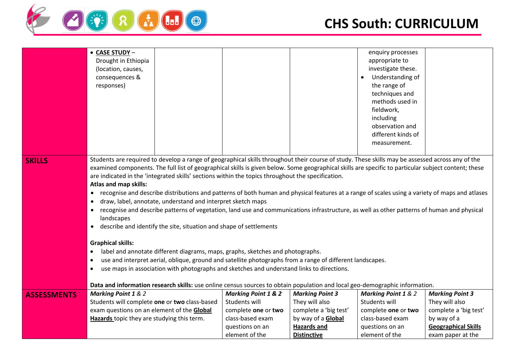

|                    | • CASE STUDY -<br>Drought in Ethiopia<br>(location, causes,<br>consequences &<br>responses)                                                                                                                                                                                                                                                                                                                                                                                                                                                                                                                                                                                                                                                                                                                                                                                                                                                                                                                                                                                                                                                                                                                                                                                                                                                                                                          |                                |                           | enquiry processes<br>appropriate to<br>investigate these.<br>Understanding of<br>the range of<br>techniques and<br>methods used in<br>fieldwork,<br>including<br>observation and<br>different kinds of<br>measurement. |                            |
|--------------------|------------------------------------------------------------------------------------------------------------------------------------------------------------------------------------------------------------------------------------------------------------------------------------------------------------------------------------------------------------------------------------------------------------------------------------------------------------------------------------------------------------------------------------------------------------------------------------------------------------------------------------------------------------------------------------------------------------------------------------------------------------------------------------------------------------------------------------------------------------------------------------------------------------------------------------------------------------------------------------------------------------------------------------------------------------------------------------------------------------------------------------------------------------------------------------------------------------------------------------------------------------------------------------------------------------------------------------------------------------------------------------------------------|--------------------------------|---------------------------|------------------------------------------------------------------------------------------------------------------------------------------------------------------------------------------------------------------------|----------------------------|
| <b>SKILLS</b>      | Students are required to develop a range of geographical skills throughout their course of study. These skills may be assessed across any of the<br>examined components. The full list of geographical skills is given below. Some geographical skills are specific to particular subject content; these<br>are indicated in the 'integrated skills' sections within the topics throughout the specification.<br>Atlas and map skills:<br>recognise and describe distributions and patterns of both human and physical features at a range of scales using a variety of maps and atlases<br>draw, label, annotate, understand and interpret sketch maps<br>recognise and describe patterns of vegetation, land use and communications infrastructure, as well as other patterns of human and physical<br>$\bullet$<br>landscapes<br>describe and identify the site, situation and shape of settlements<br>$\bullet$<br><b>Graphical skills:</b><br>label and annotate different diagrams, maps, graphs, sketches and photographs.<br>use and interpret aerial, oblique, ground and satellite photographs from a range of different landscapes.<br>$\bullet$<br>use maps in association with photographs and sketches and understand links to directions.<br>$\bullet$<br>Data and information research skills: use online census sources to obtain population and local geo-demographic information. |                                |                           |                                                                                                                                                                                                                        |                            |
| <b>ASSESSMENTS</b> | <b>Marking Point 1 &amp; 2</b>                                                                                                                                                                                                                                                                                                                                                                                                                                                                                                                                                                                                                                                                                                                                                                                                                                                                                                                                                                                                                                                                                                                                                                                                                                                                                                                                                                       | <b>Marking Point 1 &amp; 2</b> | <b>Marking Point 3</b>    | <b>Marking Point 1 &amp; 2</b>                                                                                                                                                                                         | <b>Marking Point 3</b>     |
|                    | Students will complete one or two class-based                                                                                                                                                                                                                                                                                                                                                                                                                                                                                                                                                                                                                                                                                                                                                                                                                                                                                                                                                                                                                                                                                                                                                                                                                                                                                                                                                        | Students will                  | They will also            | Students will                                                                                                                                                                                                          | They will also             |
|                    | exam questions on an element of the <b>Global</b>                                                                                                                                                                                                                                                                                                                                                                                                                                                                                                                                                                                                                                                                                                                                                                                                                                                                                                                                                                                                                                                                                                                                                                                                                                                                                                                                                    | complete one or two            | complete a 'big test'     | complete one or two                                                                                                                                                                                                    | complete a 'big test'      |
|                    | Hazards topic they are studying this term.                                                                                                                                                                                                                                                                                                                                                                                                                                                                                                                                                                                                                                                                                                                                                                                                                                                                                                                                                                                                                                                                                                                                                                                                                                                                                                                                                           | class-based exam               | by way of a <b>Global</b> | class-based exam                                                                                                                                                                                                       | by way of a                |
|                    |                                                                                                                                                                                                                                                                                                                                                                                                                                                                                                                                                                                                                                                                                                                                                                                                                                                                                                                                                                                                                                                                                                                                                                                                                                                                                                                                                                                                      | questions on an                | <b>Hazards and</b>        | questions on an                                                                                                                                                                                                        | <b>Geographical Skills</b> |
|                    |                                                                                                                                                                                                                                                                                                                                                                                                                                                                                                                                                                                                                                                                                                                                                                                                                                                                                                                                                                                                                                                                                                                                                                                                                                                                                                                                                                                                      | element of the                 | <b>Distinctive</b>        | element of the                                                                                                                                                                                                         | exam paper at the          |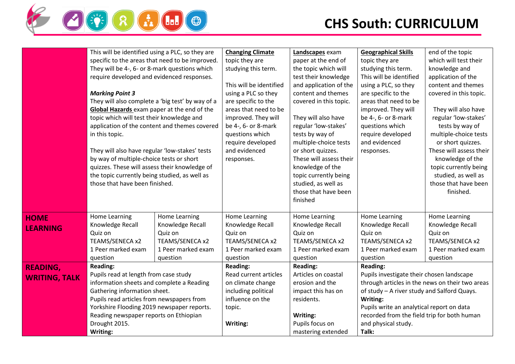

|                      | This will be identified using a PLC, so they are                                |                    | <b>Changing Climate</b> | Landscapes exam         | <b>Geographical Skills</b>                  | end of the topic                                |
|----------------------|---------------------------------------------------------------------------------|--------------------|-------------------------|-------------------------|---------------------------------------------|-------------------------------------------------|
|                      | specific to the areas that need to be improved.                                 |                    | topic they are          | paper at the end of     | topic they are                              | which will test their                           |
|                      | They will be 4-, 6- or 8-mark questions which                                   |                    | studying this term.     | the topic which will    | studying this term.                         | knowledge and                                   |
|                      | require developed and evidenced responses.                                      |                    |                         | test their knowledge    | This will be identified                     | application of the                              |
|                      |                                                                                 |                    | This will be identified | and application of the  | using a PLC, so they                        | content and themes                              |
|                      | <b>Marking Point 3</b>                                                          |                    | using a PLC so they     | content and themes      | are specific to the                         | covered in this topic.                          |
|                      | They will also complete a 'big test' by way of a                                |                    | are specific to the     | covered in this topic.  | areas that need to be                       |                                                 |
|                      | Global Hazards exam paper at the end of the                                     |                    | areas that need to be   |                         | improved. They will                         | They will also have                             |
|                      | topic which will test their knowledge and                                       |                    | improved. They will     | They will also have     | be 4-, 6- or 8-mark                         | regular 'low-stakes'                            |
|                      |                                                                                 |                    | be 4-, 6- or 8-mark     |                         | questions which                             |                                                 |
|                      | application of the content and themes covered                                   |                    |                         | regular 'low-stakes'    |                                             | tests by way of                                 |
|                      | in this topic.                                                                  |                    | questions which         | tests by way of         | require developed<br>and evidenced          | multiple-choice tests                           |
|                      |                                                                                 |                    | require developed       | multiple-choice tests   |                                             | or short quizzes.                               |
|                      | They will also have regular 'low-stakes' tests                                  |                    | and evidenced           | or short quizzes.       | responses.                                  | These will assess their                         |
|                      | by way of multiple-choice tests or short                                        |                    | responses.              | These will assess their |                                             | knowledge of the                                |
|                      | quizzes. These will assess their knowledge of                                   |                    |                         | knowledge of the        |                                             | topic currently being                           |
|                      | the topic currently being studied, as well as<br>those that have been finished. |                    |                         | topic currently being   |                                             | studied, as well as                             |
|                      |                                                                                 |                    |                         | studied, as well as     |                                             | those that have been                            |
|                      |                                                                                 |                    |                         | those that have been    |                                             | finished.                                       |
|                      |                                                                                 |                    |                         | finished                |                                             |                                                 |
| <b>HOME</b>          | Home Learning                                                                   | Home Learning      | Home Learning           | Home Learning           | Home Learning                               | Home Learning                                   |
| <b>LEARNING</b>      | Knowledge Recall                                                                | Knowledge Recall   | Knowledge Recall        | Knowledge Recall        | Knowledge Recall                            | Knowledge Recall                                |
|                      | Quiz on                                                                         | Quiz on            | Quiz on                 | Quiz on                 | Quiz on                                     | Quiz on                                         |
|                      | TEAMS/SENECA x2                                                                 | TEAMS/SENECA x2    | TEAMS/SENECA x2         | TEAMS/SENECA x2         | TEAMS/SENECA x2                             | TEAMS/SENECA x2                                 |
|                      | 1 Peer marked exam                                                              | 1 Peer marked exam | 1 Peer marked exam      | 1 Peer marked exam      | 1 Peer marked exam                          | 1 Peer marked exam                              |
|                      | question                                                                        | question           | question                | question                | question                                    | question                                        |
| <b>READING,</b>      | <b>Reading:</b>                                                                 |                    | Reading:                | <b>Reading:</b>         | <b>Reading:</b>                             |                                                 |
| <b>WRITING, TALK</b> | Pupils read at length from case study                                           |                    | Read current articles   | Articles on coastal     | Pupils investigate their chosen landscape   |                                                 |
|                      | information sheets and complete a Reading                                       |                    | on climate change       | erosion and the         |                                             | through articles in the news on their two areas |
|                      | Gathering information sheet.                                                    |                    | including political     | impact this has on      | of study - A river study and Salford Quays. |                                                 |
|                      | Pupils read articles from newspapers from                                       |                    | influence on the        | residents.              | Writing:                                    |                                                 |
|                      | Yorkshire Flooding 2019 newspaper reports.                                      |                    | topic.                  |                         | Pupils write an analytical report on data   |                                                 |
|                      | Reading newspaper reports on Ethiopian                                          |                    |                         | Writing:                | recorded from the field trip for both human |                                                 |
|                      | Drought 2015.                                                                   |                    | Writing:                | Pupils focus on         | and physical study.                         |                                                 |
|                      | Writing:                                                                        |                    |                         | mastering extended      | Talk:                                       |                                                 |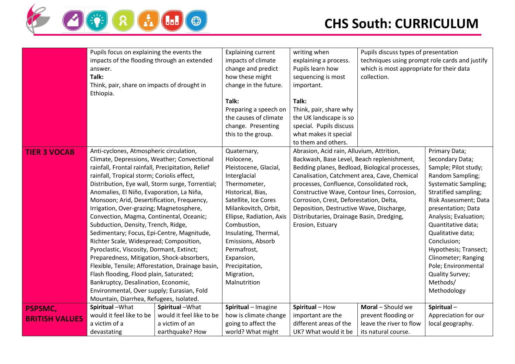

|                       | Pupils focus on explaining the events the         |                          | <b>Explaining current</b> | writing when                                   | Pupils discuss types of presentation           |                             |
|-----------------------|---------------------------------------------------|--------------------------|---------------------------|------------------------------------------------|------------------------------------------------|-----------------------------|
|                       | impacts of the flooding through an extended       |                          | impacts of climate        | explaining a process.                          | techniques using prompt role cards and justify |                             |
|                       | answer.                                           |                          | change and predict        | Pupils learn how                               | which is most appropriate for their data       |                             |
|                       | Talk:                                             |                          | how these might           | sequencing is most                             | collection.                                    |                             |
|                       | Think, pair, share on impacts of drought in       |                          | change in the future.     | important.                                     |                                                |                             |
|                       | Ethiopia.                                         |                          |                           |                                                |                                                |                             |
|                       |                                                   |                          | Talk:                     | Talk:                                          |                                                |                             |
|                       |                                                   |                          | Preparing a speech on     | Think, pair, share why                         |                                                |                             |
|                       |                                                   |                          | the causes of climate     | the UK landscape is so                         |                                                |                             |
|                       |                                                   |                          | change. Presenting        | special. Pupils discuss                        |                                                |                             |
|                       |                                                   |                          | this to the group.        | what makes it special                          |                                                |                             |
|                       |                                                   |                          |                           | to them and others.                            |                                                |                             |
| <b>TIER 3 VOCAB</b>   | Anti-cyclones, Atmospheric circulation,           |                          | Quaternary,               | Abrasion, Acid rain, Alluvium, Attrition,      |                                                | Primary Data;               |
|                       | Climate, Depressions, Weather; Convectional       |                          | Holocene,                 | Backwash, Base Level, Beach replenishment,     |                                                | Secondary Data;             |
|                       | rainfall, Frontal rainfall, Precipitation, Relief |                          | Pleistocene, Glacial,     | Bedding planes, Bedload, Biological processes, |                                                | Sample; Pilot study;        |
|                       | rainfall, Tropical storm; Coriolis effect,        |                          | Interglacial              | Canalisation, Catchment area, Cave, Chemical   |                                                | Random Sampling;            |
|                       | Distribution, Eye wall, Storm surge, Torrential;  |                          | Thermometer,              | processes, Confluence, Consolidated rock,      |                                                | <b>Systematic Sampling;</b> |
|                       | Anomalies, El Niño, Evaporation, La Niña,         |                          | Historical, Bias,         | Constructive Wave, Contour lines, Corrosion,   |                                                | Stratified sampling;        |
|                       | Monsoon; Arid, Desertification, Frequency,        |                          | Satellite, Ice Cores      | Corrosion, Crest, Deforestation, Delta,        |                                                | Risk Assessment; Data       |
|                       | Irrigation, Over-grazing; Magnetosphere,          |                          | Milankovitch, Orbit,      | Deposition, Destructive Wave, Discharge,       |                                                | presentation; Data          |
|                       | Convection, Magma, Continental, Oceanic;          |                          | Ellipse, Radiation, Axis  | Distributaries, Drainage Basin, Dredging,      |                                                | Analysis; Evaluation;       |
|                       | Subduction, Density, Trench, Ridge,               |                          | Combustion,               | Erosion, Estuary                               |                                                | Quantitative data;          |
|                       | Sedimentary; Focus, Epi-Centre, Magnitude,        |                          | Insulating, Thermal,      |                                                |                                                | Qualitative data;           |
|                       | Richter Scale, Widespread; Composition,           |                          | Emissions, Absorb         |                                                |                                                | Conclusion;                 |
|                       | Pyroclastic, Viscosity, Dormant, Extinct;         |                          | Permafrost,               |                                                |                                                | Hypothesis; Transect;       |
|                       | Preparedness, Mitigation, Shock-absorbers,        |                          | Expansion,                |                                                |                                                | Clinometer; Ranging         |
|                       | Flexible, Tensile; Afforestation, Drainage basin, |                          | Precipitation,            |                                                |                                                | Pole; Environmental         |
|                       | Flash flooding, Flood plain, Saturated;           |                          | Migration,                |                                                |                                                | Quality Survey;             |
|                       | Bankruptcy, Desalination, Economic,               |                          | Malnutrition              |                                                |                                                | Methods/                    |
|                       | Environmental, Over supply; Eurasian, Fold        |                          |                           |                                                |                                                | Methodology                 |
|                       | Mountain, Diarrhea, Refugees, Isolated.           |                          |                           |                                                |                                                |                             |
| <b>PSPSMC,</b>        | Spiritual-What                                    | Spiritual-What           | Spiritual - Imagine       | Spiritual - How                                | Moral - Should we                              | Spiritual-                  |
| <b>BRITISH VALUES</b> | would it feel like to be                          | would it feel like to be | how is climate change     | important are the                              | prevent flooding or                            | Appreciation for our        |
|                       | a victim of a                                     | a victim of an           | going to affect the       | different areas of the                         | leave the river to flow                        | local geography.            |
|                       | devastating                                       | earthquake? How          | world? What might         | UK? What would it be                           | its natural course.                            |                             |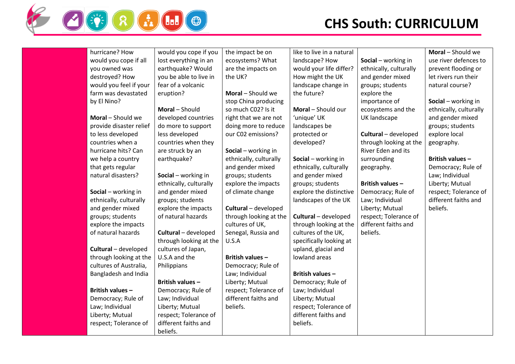

| hurricane? How          | would you cope if you   | the impact be on       | like to live in a natural |                         | Moral - Should we      |
|-------------------------|-------------------------|------------------------|---------------------------|-------------------------|------------------------|
| would you cope if all   | lost everything in an   | ecosystems? What       | landscape? How            | Social - working in     | use river defences to  |
| you owned was           | earthquake? Would       | are the impacts on     | would your life differ?   | ethnically, culturally  | prevent flooding or    |
| destroyed? How          | you be able to live in  | the UK?                | How might the UK          | and gender mixed        | let rivers run their   |
| would you feel if your  | fear of a volcanic      |                        | landscape change in       | groups; students        | natural course?        |
| farm was devastated     | eruption?               | Moral - Should we      | the future?               | explore the             |                        |
| by El Nino?             |                         | stop China producing   |                           | importance of           | Social - working in    |
|                         | Moral - Should          | so much C02? Is it     | Moral - Should our        | ecosystems and the      | ethnically, culturally |
| Moral - Should we       | developed countries     | right that we are not  | 'unique' UK               | UK landscape            | and gender mixed       |
| provide disaster relief | do more to support      | doing more to reduce   | landscapes be             |                         | groups; students       |
| to less developed       | less developed          | our C02 emissions?     | protected or              | Cultural - developed    | explore local          |
| countries when a        | countries when they     |                        | developed?                | through looking at the  | geography.             |
| hurricane hits? Can     | are struck by an        | Social - working in    |                           | River Eden and its      |                        |
| we help a country       | earthquake?             | ethnically, culturally | Social - working in       | surrounding             | British values-        |
| that gets regular       |                         | and gender mixed       | ethnically, culturally    | geography.              | Democracy; Rule of     |
| natural disasters?      | Social - working in     | groups; students       | and gender mixed          |                         | Law; Individual        |
|                         | ethnically, culturally  | explore the impacts    | groups; students          | <b>British values -</b> | Liberty; Mutual        |
| Social - working in     | and gender mixed        | of climate change      | explore the distinctive   | Democracy; Rule of      | respect; Tolerance of  |
| ethnically, culturally  | groups; students        |                        | landscapes of the UK      | Law; Individual         | different faiths and   |
| and gender mixed        | explore the impacts     | Cultural - developed   |                           | Liberty; Mutual         | beliefs.               |
| groups; students        | of natural hazards      | through looking at the | Cultural - developed      | respect; Tolerance of   |                        |
| explore the impacts     |                         | cultures of UK,        | through looking at the    | different faiths and    |                        |
| of natural hazards      | Cultural - developed    | Senegal, Russia and    | cultures of the UK,       | beliefs.                |                        |
|                         | through looking at the  | U.S.A                  | specifically looking at   |                         |                        |
| Cultural - developed    | cultures of Japan,      |                        | upland, glacial and       |                         |                        |
| through looking at the  | U.S.A and the           | British values -       | lowland areas             |                         |                        |
| cultures of Australia,  | Philippians             | Democracy; Rule of     |                           |                         |                        |
| Bangladesh and India    |                         | Law; Individual        | <b>British values -</b>   |                         |                        |
|                         | <b>British values -</b> | Liberty; Mutual        | Democracy; Rule of        |                         |                        |
| British values-         | Democracy; Rule of      | respect; Tolerance of  | Law; Individual           |                         |                        |
| Democracy; Rule of      | Law; Individual         | different faiths and   | Liberty; Mutual           |                         |                        |
| Law; Individual         | Liberty; Mutual         | beliefs.               | respect; Tolerance of     |                         |                        |
| Liberty; Mutual         | respect; Tolerance of   |                        | different faiths and      |                         |                        |
| respect; Tolerance of   | different faiths and    |                        | beliefs.                  |                         |                        |
|                         | beliefs.                |                        |                           |                         |                        |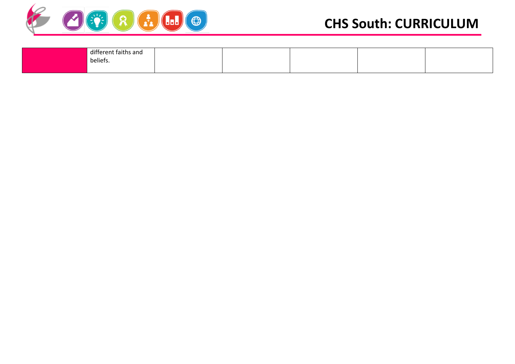

| different faiths and |  |  |  |
|----------------------|--|--|--|
| beliefs.             |  |  |  |
|                      |  |  |  |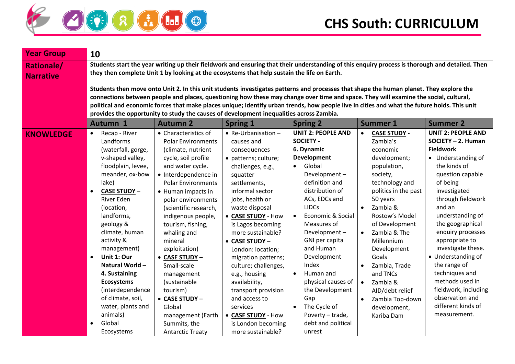

| <b>Year Group</b>                     | 10                                                                                                                                                                                                                                                                                                                                                                                               |                                                                                                                                                                                                                                                                                                                                                                                                                                           |                                                                                                                                                                                                                                                                                                                                                                                                                                        |                                                                                                                                                                                                                                                                                                                                                                                                                  |                                                                                                                                                                                                                                                                                                                                                                             |                                                                                                                                                                                                                                                                                                                                                                                                                                           |  |  |
|---------------------------------------|--------------------------------------------------------------------------------------------------------------------------------------------------------------------------------------------------------------------------------------------------------------------------------------------------------------------------------------------------------------------------------------------------|-------------------------------------------------------------------------------------------------------------------------------------------------------------------------------------------------------------------------------------------------------------------------------------------------------------------------------------------------------------------------------------------------------------------------------------------|----------------------------------------------------------------------------------------------------------------------------------------------------------------------------------------------------------------------------------------------------------------------------------------------------------------------------------------------------------------------------------------------------------------------------------------|------------------------------------------------------------------------------------------------------------------------------------------------------------------------------------------------------------------------------------------------------------------------------------------------------------------------------------------------------------------------------------------------------------------|-----------------------------------------------------------------------------------------------------------------------------------------------------------------------------------------------------------------------------------------------------------------------------------------------------------------------------------------------------------------------------|-------------------------------------------------------------------------------------------------------------------------------------------------------------------------------------------------------------------------------------------------------------------------------------------------------------------------------------------------------------------------------------------------------------------------------------------|--|--|
| <b>Rationale/</b><br><b>Narrative</b> |                                                                                                                                                                                                                                                                                                                                                                                                  | Students start the year writing up their fieldwork and ensuring that their understanding of this enquiry process is thorough and detailed. Then<br>they then complete Unit 1 by looking at the ecosystems that help sustain the life on Earth.                                                                                                                                                                                            |                                                                                                                                                                                                                                                                                                                                                                                                                                        |                                                                                                                                                                                                                                                                                                                                                                                                                  |                                                                                                                                                                                                                                                                                                                                                                             |                                                                                                                                                                                                                                                                                                                                                                                                                                           |  |  |
|                                       |                                                                                                                                                                                                                                                                                                                                                                                                  | Students then move onto Unit 2. In this unit students investigates patterns and processes that shape the human planet. They explore the<br>connections between people and places, questioning how these may change over time and space. They will examine the social, cultural,                                                                                                                                                           |                                                                                                                                                                                                                                                                                                                                                                                                                                        |                                                                                                                                                                                                                                                                                                                                                                                                                  |                                                                                                                                                                                                                                                                                                                                                                             |                                                                                                                                                                                                                                                                                                                                                                                                                                           |  |  |
|                                       |                                                                                                                                                                                                                                                                                                                                                                                                  | political and economic forces that make places unique; identify urban trends, how people live in cities and what the future holds. This unit                                                                                                                                                                                                                                                                                              |                                                                                                                                                                                                                                                                                                                                                                                                                                        |                                                                                                                                                                                                                                                                                                                                                                                                                  |                                                                                                                                                                                                                                                                                                                                                                             |                                                                                                                                                                                                                                                                                                                                                                                                                                           |  |  |
|                                       |                                                                                                                                                                                                                                                                                                                                                                                                  | provides the opportunity to study the causes of development inequalities across Zambia.                                                                                                                                                                                                                                                                                                                                                   |                                                                                                                                                                                                                                                                                                                                                                                                                                        |                                                                                                                                                                                                                                                                                                                                                                                                                  |                                                                                                                                                                                                                                                                                                                                                                             |                                                                                                                                                                                                                                                                                                                                                                                                                                           |  |  |
|                                       | Autumn 1                                                                                                                                                                                                                                                                                                                                                                                         | <b>Autumn 2</b>                                                                                                                                                                                                                                                                                                                                                                                                                           | <b>Spring 1</b>                                                                                                                                                                                                                                                                                                                                                                                                                        | <b>Spring 2</b>                                                                                                                                                                                                                                                                                                                                                                                                  | <b>Summer 1</b>                                                                                                                                                                                                                                                                                                                                                             | <b>Summer 2</b>                                                                                                                                                                                                                                                                                                                                                                                                                           |  |  |
| <b>KNOWLEDGE</b>                      | Recap - River<br>Landforms<br>(waterfall, gorge,<br>v-shaped valley,<br>floodplain, levee,<br>meander, ox-bow<br>lake)<br><b>CASE STUDY -</b><br><b>River Eden</b><br>(location,<br>landforms,<br>geology &<br>climate, human<br>activity &<br>management)<br>Unit 1: Our<br>Natural World -<br>4. Sustaining<br><b>Ecosystems</b><br>(interdependence<br>of climate, soil,<br>water, plants and | • Characteristics of<br><b>Polar Environments</b><br>(climate, nutrient<br>cycle, soil profile<br>and water cycle.<br>• Interdependence in<br><b>Polar Environments</b><br>• Human impacts in<br>polar environments<br>(scientific research,<br>indigenous people,<br>tourism, fishing,<br>whaling and<br>mineral<br>exploitation)<br>• CASE STUDY -<br>Small-scale<br>management<br>(sustainable<br>tourism)<br>• CASE STUDY -<br>Global | $\bullet$ Re-Urbanisation -<br>causes and<br>consequences<br>· patterns; culture;<br>challenges, e.g.,<br>squatter<br>settlements,<br>informal sector<br>jobs, health or<br>waste disposal<br>• CASE STUDY - How<br>is Lagos becoming<br>more sustainable?<br>• CASE STUDY -<br>London: location;<br>migration patterns;<br>culture; challenges,<br>e.g., housing<br>availability,<br>transport provision<br>and access to<br>services | <b>UNIT 2: PEOPLE AND</b><br><b>SOCIETY -</b><br>6. Dynamic<br><b>Development</b><br>Global<br>$\bullet$<br>Development-<br>definition and<br>distribution of<br>ACs, EDCs and<br><b>LIDCs</b><br>Economic & Social<br>$\bullet$<br>Measures of<br>Development-<br>GNI per capita<br>and Human<br>Development<br>Index<br>Human and<br>$\bullet$<br>physical causes of<br>the Development<br>Gap<br>The Cycle of | <b>CASE STUDY -</b><br>Zambia's<br>economic<br>development;<br>population,<br>society,<br>technology and<br>politics in the past<br>50 years<br>Zambia &<br>$\bullet$<br>Rostow's Model<br>of Development<br>Zambia & The<br>Millennium<br>Development<br>Goals<br>Zambia, Trade<br>and TNCs<br>$\bullet$<br>Zambia &<br>AID/debt relief<br>Zambia Top-down<br>development, | <b>UNIT 2: PEOPLE AND</b><br>SOCIETY - 2. Human<br><b>Fieldwork</b><br>• Understanding of<br>the kinds of<br>question capable<br>of being<br>investigated<br>through fieldwork<br>and an<br>understanding of<br>the geographical<br>enquiry processes<br>appropriate to<br>investigate these.<br>• Understanding of<br>the range of<br>techniques and<br>methods used in<br>fieldwork, including<br>observation and<br>different kinds of |  |  |
|                                       | animals)<br>Global<br>Ecosystems                                                                                                                                                                                                                                                                                                                                                                 | management (Earth<br>Summits, the<br><b>Antarctic Treaty</b>                                                                                                                                                                                                                                                                                                                                                                              | • CASE STUDY - How<br>is London becoming<br>more sustainable?                                                                                                                                                                                                                                                                                                                                                                          | Poverty - trade,<br>debt and political<br>unrest                                                                                                                                                                                                                                                                                                                                                                 | Kariba Dam                                                                                                                                                                                                                                                                                                                                                                  | measurement.                                                                                                                                                                                                                                                                                                                                                                                                                              |  |  |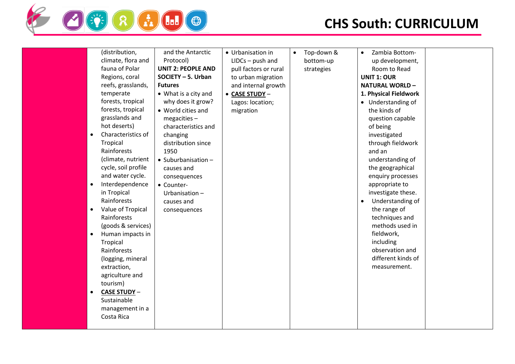

| (distribution,                   | and the Antarctic           | • Urbanisation in     | Top-down &<br>$\bullet$ | Zambia Bottom-<br>$\bullet$ |  |
|----------------------------------|-----------------------------|-----------------------|-------------------------|-----------------------------|--|
| climate, flora and               | Protocol)                   | $LIDCs - push$ and    | bottom-up               | up development,             |  |
| fauna of Polar                   | <b>UNIT 2: PEOPLE AND</b>   | pull factors or rural | strategies              | Room to Read                |  |
| Regions, coral                   | SOCIETY - 5. Urban          | to urban migration    |                         | <b>UNIT 1: OUR</b>          |  |
| reefs, grasslands,               | <b>Futures</b>              | and internal growth   |                         | <b>NATURAL WORLD-</b>       |  |
| temperate                        | • What is a city and        | • CASE STUDY -        |                         | 1. Physical Fieldwork       |  |
| forests, tropical                | why does it grow?           | Lagos: location;      |                         | • Understanding of          |  |
| forests, tropical                | • World cities and          | migration             |                         | the kinds of                |  |
| grasslands and                   | $megacities -$              |                       |                         | question capable            |  |
| hot deserts)                     | characteristics and         |                       |                         | of being                    |  |
| Characteristics of<br>$\bullet$  | changing                    |                       |                         | investigated                |  |
| Tropical                         | distribution since          |                       |                         | through fieldwork           |  |
| Rainforests                      | 1950                        |                       |                         | and an                      |  |
| (climate, nutrient               | $\bullet$ Suburbanisation - |                       |                         | understanding of            |  |
| cycle, soil profile              | causes and                  |                       |                         | the geographical            |  |
| and water cycle.                 | consequences                |                       |                         | enquiry processes           |  |
| Interdependence<br>$\bullet$     | • Counter-                  |                       |                         | appropriate to              |  |
| in Tropical                      | Urbanisation-               |                       |                         | investigate these.          |  |
| Rainforests                      | causes and                  |                       |                         | Understanding of            |  |
| Value of Tropical<br>$\bullet$   | consequences                |                       |                         | the range of                |  |
| Rainforests                      |                             |                       |                         | techniques and              |  |
| (goods & services)               |                             |                       |                         | methods used in             |  |
| Human impacts in<br>$\bullet$    |                             |                       |                         | fieldwork,                  |  |
| Tropical                         |                             |                       |                         | including                   |  |
| Rainforests                      |                             |                       |                         | observation and             |  |
| (logging, mineral                |                             |                       |                         | different kinds of          |  |
| extraction,                      |                             |                       |                         | measurement.                |  |
| agriculture and                  |                             |                       |                         |                             |  |
| tourism)                         |                             |                       |                         |                             |  |
| <b>CASE STUDY -</b><br>$\bullet$ |                             |                       |                         |                             |  |
| Sustainable                      |                             |                       |                         |                             |  |
| management in a                  |                             |                       |                         |                             |  |
| Costa Rica                       |                             |                       |                         |                             |  |
|                                  |                             |                       |                         |                             |  |
|                                  |                             |                       |                         |                             |  |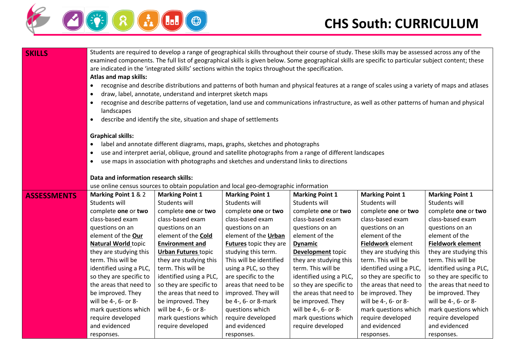

| <b>SKILLS</b>      | Students are required to develop a range of geographical skills throughout their course of study. These skills may be assessed across any of the<br>examined components. The full list of geographical skills is given below. Some geographical skills are specific to particular subject content; these<br>are indicated in the 'integrated skills' sections within the topics throughout the specification.<br>Atlas and map skills:<br>recognise and describe distributions and patterns of both human and physical features at a range of scales using a variety of maps and atlases<br>$\bullet$<br>draw, label, annotate, understand and interpret sketch maps<br>$\bullet$<br>recognise and describe patterns of vegetation, land use and communications infrastructure, as well as other patterns of human and physical<br>$\bullet$<br>landscapes<br>describe and identify the site, situation and shape of settlements<br>$\bullet$ |                            |                                                                                                          |                          |                         |                          |  |
|--------------------|-----------------------------------------------------------------------------------------------------------------------------------------------------------------------------------------------------------------------------------------------------------------------------------------------------------------------------------------------------------------------------------------------------------------------------------------------------------------------------------------------------------------------------------------------------------------------------------------------------------------------------------------------------------------------------------------------------------------------------------------------------------------------------------------------------------------------------------------------------------------------------------------------------------------------------------------------|----------------------------|----------------------------------------------------------------------------------------------------------|--------------------------|-------------------------|--------------------------|--|
|                    | <b>Graphical skills:</b>                                                                                                                                                                                                                                                                                                                                                                                                                                                                                                                                                                                                                                                                                                                                                                                                                                                                                                                      |                            |                                                                                                          |                          |                         |                          |  |
|                    |                                                                                                                                                                                                                                                                                                                                                                                                                                                                                                                                                                                                                                                                                                                                                                                                                                                                                                                                               |                            | label and annotate different diagrams, maps, graphs, sketches and photographs                            |                          |                         |                          |  |
|                    | $\bullet$                                                                                                                                                                                                                                                                                                                                                                                                                                                                                                                                                                                                                                                                                                                                                                                                                                                                                                                                     |                            | use and interpret aerial, oblique, ground and satellite photographs from a range of different landscapes |                          |                         |                          |  |
|                    | $\bullet$                                                                                                                                                                                                                                                                                                                                                                                                                                                                                                                                                                                                                                                                                                                                                                                                                                                                                                                                     |                            | use maps in association with photographs and sketches and understand links to directions                 |                          |                         |                          |  |
|                    | Data and information research skills:                                                                                                                                                                                                                                                                                                                                                                                                                                                                                                                                                                                                                                                                                                                                                                                                                                                                                                         |                            |                                                                                                          |                          |                         |                          |  |
|                    |                                                                                                                                                                                                                                                                                                                                                                                                                                                                                                                                                                                                                                                                                                                                                                                                                                                                                                                                               |                            | use online census sources to obtain population and local geo-demographic information                     |                          |                         |                          |  |
| <b>ASSESSMENTS</b> | Marking Point 1 & 2                                                                                                                                                                                                                                                                                                                                                                                                                                                                                                                                                                                                                                                                                                                                                                                                                                                                                                                           | <b>Marking Point 1</b>     | <b>Marking Point 1</b>                                                                                   | <b>Marking Point 1</b>   | <b>Marking Point 1</b>  | <b>Marking Point 1</b>   |  |
|                    | Students will                                                                                                                                                                                                                                                                                                                                                                                                                                                                                                                                                                                                                                                                                                                                                                                                                                                                                                                                 | Students will              | Students will                                                                                            | Students will            | Students will           | Students will            |  |
|                    | complete one or two                                                                                                                                                                                                                                                                                                                                                                                                                                                                                                                                                                                                                                                                                                                                                                                                                                                                                                                           | complete one or two        | complete one or two                                                                                      | complete one or two      | complete one or two     | complete one or two      |  |
|                    | class-based exam                                                                                                                                                                                                                                                                                                                                                                                                                                                                                                                                                                                                                                                                                                                                                                                                                                                                                                                              | class-based exam           | class-based exam                                                                                         | class-based exam         | class-based exam        | class-based exam         |  |
|                    | questions on an                                                                                                                                                                                                                                                                                                                                                                                                                                                                                                                                                                                                                                                                                                                                                                                                                                                                                                                               | questions on an            | questions on an                                                                                          | questions on an          | questions on an         | questions on an          |  |
|                    | element of the Our                                                                                                                                                                                                                                                                                                                                                                                                                                                                                                                                                                                                                                                                                                                                                                                                                                                                                                                            | element of the <b>Cold</b> | element of the Urban                                                                                     | element of the           | element of the          | element of the           |  |
|                    | <b>Natural World topic</b>                                                                                                                                                                                                                                                                                                                                                                                                                                                                                                                                                                                                                                                                                                                                                                                                                                                                                                                    | <b>Environment and</b>     | Futures topic they are                                                                                   | <b>Dynamic</b>           | Fieldwork element       | <b>Fieldwork element</b> |  |
|                    | they are studying this                                                                                                                                                                                                                                                                                                                                                                                                                                                                                                                                                                                                                                                                                                                                                                                                                                                                                                                        | <b>Urban Futures topic</b> | studying this term.                                                                                      | <b>Development</b> topic | they are studying this  | they are studying this   |  |
|                    | term. This will be                                                                                                                                                                                                                                                                                                                                                                                                                                                                                                                                                                                                                                                                                                                                                                                                                                                                                                                            | they are studying this     | This will be identified                                                                                  | they are studying this   | term. This will be      | term. This will be       |  |
|                    | identified using a PLC,                                                                                                                                                                                                                                                                                                                                                                                                                                                                                                                                                                                                                                                                                                                                                                                                                                                                                                                       | term. This will be         | using a PLC, so they                                                                                     | term. This will be       | identified using a PLC, | identified using a PLC,  |  |
|                    | so they are specific to                                                                                                                                                                                                                                                                                                                                                                                                                                                                                                                                                                                                                                                                                                                                                                                                                                                                                                                       | identified using a PLC,    | are specific to the                                                                                      | identified using a PLC,  | so they are specific to | so they are specific to  |  |
|                    | the areas that need to                                                                                                                                                                                                                                                                                                                                                                                                                                                                                                                                                                                                                                                                                                                                                                                                                                                                                                                        | so they are specific to    | areas that need to be                                                                                    | so they are specific to  | the areas that need to  | the areas that need to   |  |
|                    | be improved. They                                                                                                                                                                                                                                                                                                                                                                                                                                                                                                                                                                                                                                                                                                                                                                                                                                                                                                                             | the areas that need to     | improved. They will                                                                                      | the areas that need to   | be improved. They       | be improved. They        |  |
|                    | will be 4-, 6- or 8-                                                                                                                                                                                                                                                                                                                                                                                                                                                                                                                                                                                                                                                                                                                                                                                                                                                                                                                          | be improved. They          | be 4-, 6- or 8-mark                                                                                      | be improved. They        | will be 4-, 6- or 8-    | will be 4-, 6- or 8-     |  |
|                    | mark questions which                                                                                                                                                                                                                                                                                                                                                                                                                                                                                                                                                                                                                                                                                                                                                                                                                                                                                                                          | will be 4-, 6- or 8-       | questions which                                                                                          | will be 4-, 6- or 8-     | mark questions which    | mark questions which     |  |
|                    | require developed                                                                                                                                                                                                                                                                                                                                                                                                                                                                                                                                                                                                                                                                                                                                                                                                                                                                                                                             | mark questions which       | require developed                                                                                        | mark questions which     | require developed       | require developed        |  |
|                    | and evidenced                                                                                                                                                                                                                                                                                                                                                                                                                                                                                                                                                                                                                                                                                                                                                                                                                                                                                                                                 | require developed          | and evidenced                                                                                            | require developed        | and evidenced           | and evidenced            |  |
|                    | responses.                                                                                                                                                                                                                                                                                                                                                                                                                                                                                                                                                                                                                                                                                                                                                                                                                                                                                                                                    |                            | responses.                                                                                               |                          | responses.              | responses.               |  |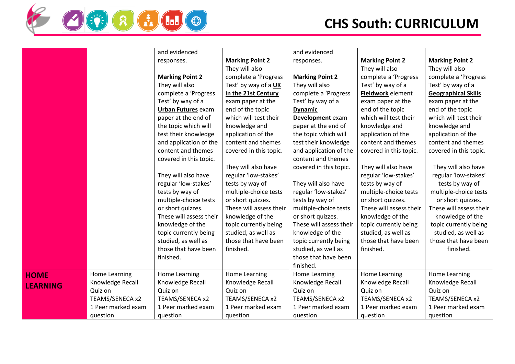

| ക<br>$\blacksquare$ |
|---------------------|
|---------------------|

|                 |                    | and evidenced             |                         | and evidenced           |                         |                            |
|-----------------|--------------------|---------------------------|-------------------------|-------------------------|-------------------------|----------------------------|
|                 |                    | responses.                | <b>Marking Point 2</b>  | responses.              | <b>Marking Point 2</b>  | <b>Marking Point 2</b>     |
|                 |                    |                           | They will also          |                         | They will also          | They will also             |
|                 |                    | <b>Marking Point 2</b>    | complete a 'Progress    | <b>Marking Point 2</b>  | complete a 'Progress    | complete a 'Progress       |
|                 |                    | They will also            | Test' by way of a UK    | They will also          | Test' by way of a       | Test' by way of a          |
|                 |                    | complete a 'Progress      | in the 21st Century     | complete a 'Progress    | Fieldwork element       | <b>Geographical Skills</b> |
|                 |                    | Test' by way of a         | exam paper at the       | Test' by way of a       | exam paper at the       | exam paper at the          |
|                 |                    | <b>Urban Futures exam</b> | end of the topic        | <b>Dynamic</b>          | end of the topic        | end of the topic           |
|                 |                    | paper at the end of       | which will test their   | Development exam        | which will test their   | which will test their      |
|                 |                    | the topic which will      | knowledge and           | paper at the end of     | knowledge and           | knowledge and              |
|                 |                    | test their knowledge      | application of the      | the topic which will    | application of the      | application of the         |
|                 |                    | and application of the    | content and themes      | test their knowledge    | content and themes      | content and themes         |
|                 |                    | content and themes        | covered in this topic.  | and application of the  | covered in this topic.  | covered in this topic.     |
|                 |                    | covered in this topic.    |                         | content and themes      |                         |                            |
|                 |                    |                           | They will also have     | covered in this topic.  | They will also have     | They will also have        |
|                 |                    | They will also have       | regular 'low-stakes'    |                         | regular 'low-stakes'    | regular 'low-stakes'       |
|                 |                    | regular 'low-stakes'      | tests by way of         | They will also have     | tests by way of         | tests by way of            |
|                 |                    | tests by way of           | multiple-choice tests   | regular 'low-stakes'    | multiple-choice tests   | multiple-choice tests      |
|                 |                    | multiple-choice tests     | or short quizzes.       | tests by way of         | or short quizzes.       | or short quizzes.          |
|                 |                    | or short quizzes.         | These will assess their | multiple-choice tests   | These will assess their | These will assess their    |
|                 |                    | These will assess their   | knowledge of the        | or short quizzes.       | knowledge of the        | knowledge of the           |
|                 |                    | knowledge of the          | topic currently being   | These will assess their | topic currently being   | topic currently being      |
|                 |                    | topic currently being     | studied, as well as     | knowledge of the        | studied, as well as     | studied, as well as        |
|                 |                    | studied, as well as       | those that have been    | topic currently being   | those that have been    | those that have been       |
|                 |                    | those that have been      | finished.               | studied, as well as     | finished.               | finished.                  |
|                 |                    | finished.                 |                         | those that have been    |                         |                            |
|                 |                    |                           |                         | finished.               |                         |                            |
| <b>HOME</b>     | Home Learning      | Home Learning             | Home Learning           | Home Learning           | <b>Home Learning</b>    | Home Learning              |
| <b>LEARNING</b> | Knowledge Recall   | Knowledge Recall          | Knowledge Recall        | Knowledge Recall        | Knowledge Recall        | Knowledge Recall           |
|                 | Quiz on            | Quiz on                   | Quiz on                 | Quiz on                 | Quiz on                 | Quiz on                    |
|                 | TEAMS/SENECA x2    | TEAMS/SENECA x2           | TEAMS/SENECA x2         | TEAMS/SENECA x2         | TEAMS/SENECA x2         | TEAMS/SENECA x2            |
|                 | 1 Peer marked exam | 1 Peer marked exam        | 1 Peer marked exam      | 1 Peer marked exam      | 1 Peer marked exam      | 1 Peer marked exam         |
|                 | question           | question                  | question                | question                | question                | question                   |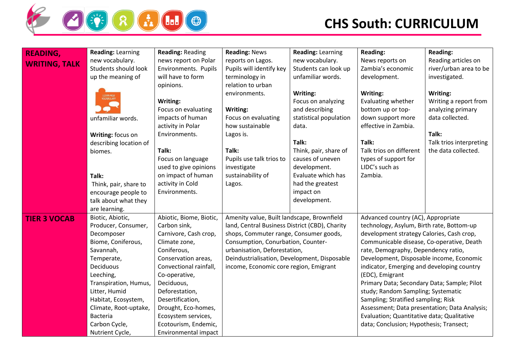

| <b>READING,</b>      | <b>Reading: Learning</b> | <b>Reading: Reading</b> | <b>Reading: News</b>                           | <b>Reading: Learning</b> | <b>Reading:</b>                               | <b>Reading:</b>         |
|----------------------|--------------------------|-------------------------|------------------------------------------------|--------------------------|-----------------------------------------------|-------------------------|
| <b>WRITING, TALK</b> | new vocabulary.          | news report on Polar    | reports on Lagos.                              | new vocabulary.          | News reports on                               | Reading articles on     |
|                      | Students should look     | Environments. Pupils    | Pupils will identify key                       | Students can look up     | Zambia's economic                             | river/urban area to be  |
|                      | up the meaning of        | will have to form       | terminology in                                 | unfamiliar words.        | development.                                  | investigated.           |
|                      |                          | opinions.               | relation to urban                              |                          |                                               |                         |
|                      |                          |                         | environments.                                  | Writing:                 | Writing:                                      | Writing:                |
|                      |                          | Writing:                |                                                | Focus on analyzing       | Evaluating whether                            | Writing a report from   |
|                      |                          | Focus on evaluating     | Writing:                                       | and describing           | bottom up or top-                             | analyzing primary       |
|                      | unfamiliar words.        | impacts of human        | Focus on evaluating                            | statistical population   | down support more                             | data collected.         |
|                      |                          | activity in Polar       | how sustainable                                | data.                    | effective in Zambia.                          |                         |
|                      | Writing: focus on        | Environments.           | Lagos is.                                      |                          |                                               | Talk:                   |
|                      | describing location of   |                         |                                                | Talk:                    | Talk:                                         | Talk trios interpreting |
|                      | biomes.                  | Talk:                   | Talk:                                          | Think, pair, share of    | Talk trios on different                       | the data collected.     |
|                      |                          | Focus on language       | Pupils use talk trios to                       | causes of uneven         | types of support for                          |                         |
|                      |                          | used to give opinions   | investigate                                    | development.             | LIDC's such as                                |                         |
|                      | Talk:                    | on impact of human      | sustainability of                              | Evaluate which has       | Zambia.                                       |                         |
|                      | Think, pair, share to    | activity in Cold        | Lagos.                                         | had the greatest         |                                               |                         |
|                      | encourage people to      | Environments.           |                                                | impact on                |                                               |                         |
|                      | talk about what they     |                         |                                                | development.             |                                               |                         |
|                      | are learning.            |                         |                                                |                          |                                               |                         |
| <b>TIER 3 VOCAB</b>  | Biotic, Abiotic,         | Abiotic, Biome, Biotic, | Amenity value, Built landscape, Brownfield     |                          | Advanced country (AC), Appropriate            |                         |
|                      | Producer, Consumer,      | Carbon sink,            | land, Central Business District (CBD), Charity |                          | technology, Asylum, Birth rate, Bottom-up     |                         |
|                      | Decomposer               | Carnivore, Cash crop,   | shops, Commuter range, Consumer goods,         |                          | development strategy Calories, Cash crop,     |                         |
|                      | Biome, Coniferous,       | Climate zone,           | Consumption, Conurbation, Counter-             |                          | Communicable disease, Co-operative, Death     |                         |
|                      | Savannah,                | Coniferous,             | urbanisation, Deforestation,                   |                          | rate, Demography, Dependency ratio,           |                         |
|                      | Temperate,               | Conservation areas,     | Deindustrialisation, Development, Disposable   |                          | Development, Disposable income, Economic      |                         |
|                      | Deciduous                | Convectional rainfall,  | income, Economic core region, Emigrant         |                          | indicator, Emerging and developing country    |                         |
|                      | Leeching,                | Co-operative,           |                                                |                          | (EDC), Emigrant                               |                         |
|                      | Transpiration, Humus,    | Deciduous,              |                                                |                          | Primary Data; Secondary Data; Sample; Pilot   |                         |
|                      | Litter, Humid            | Deforestation,          |                                                |                          | study; Random Sampling; Systematic            |                         |
|                      | Habitat, Ecosystem,      | Desertification,        |                                                |                          | Sampling; Stratified sampling; Risk           |                         |
|                      | Climate, Root-uptake,    | Drought, Eco-homes,     |                                                |                          | Assessment; Data presentation; Data Analysis; |                         |
|                      | <b>Bacteria</b>          | Ecosystem services,     |                                                |                          | Evaluation; Quantitative data; Qualitative    |                         |
|                      | Carbon Cycle,            | Ecotourism, Endemic,    |                                                |                          | data; Conclusion; Hypothesis; Transect;       |                         |
|                      | Nutrient Cycle,          | Environmental impact    |                                                |                          |                                               |                         |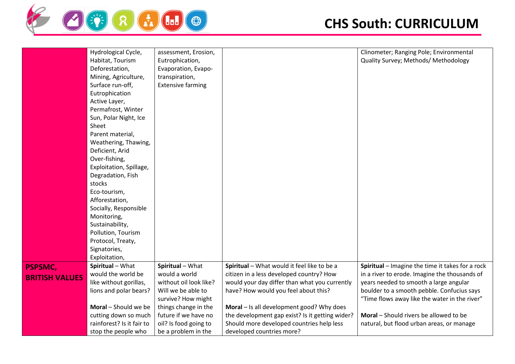

|                       | Hydrological Cycle,       | assessment, Erosion,     |                                                 | Clinometer; Ranging Pole; Environmental          |
|-----------------------|---------------------------|--------------------------|-------------------------------------------------|--------------------------------------------------|
|                       | Habitat, Tourism          | Eutrophication,          |                                                 | Quality Survey; Methods/ Methodology             |
|                       | Deforestation,            | Evaporation, Evapo-      |                                                 |                                                  |
|                       | Mining, Agriculture,      | transpiration,           |                                                 |                                                  |
|                       | Surface run-off,          | <b>Extensive farming</b> |                                                 |                                                  |
|                       | Eutrophication            |                          |                                                 |                                                  |
|                       | Active Layer,             |                          |                                                 |                                                  |
|                       | Permafrost, Winter        |                          |                                                 |                                                  |
|                       | Sun, Polar Night, Ice     |                          |                                                 |                                                  |
|                       | Sheet                     |                          |                                                 |                                                  |
|                       | Parent material,          |                          |                                                 |                                                  |
|                       | Weathering, Thawing,      |                          |                                                 |                                                  |
|                       | Deficient, Arid           |                          |                                                 |                                                  |
|                       | Over-fishing,             |                          |                                                 |                                                  |
|                       | Exploitation, Spillage,   |                          |                                                 |                                                  |
|                       | Degradation, Fish         |                          |                                                 |                                                  |
|                       | stocks                    |                          |                                                 |                                                  |
|                       | Eco-tourism,              |                          |                                                 |                                                  |
|                       | Afforestation,            |                          |                                                 |                                                  |
|                       | Socially, Responsible     |                          |                                                 |                                                  |
|                       | Monitoring,               |                          |                                                 |                                                  |
|                       | Sustainability,           |                          |                                                 |                                                  |
|                       | Pollution, Tourism        |                          |                                                 |                                                  |
|                       | Protocol, Treaty,         |                          |                                                 |                                                  |
|                       | Signatories,              |                          |                                                 |                                                  |
|                       | Exploitation,             |                          |                                                 |                                                  |
| <b>PSPSMC,</b>        | Spiritual - What          | Spiritual - What         | Spiritual - What would it feel like to be a     | Spiritual - Imagine the time it takes for a rock |
| <b>BRITISH VALUES</b> | would the world be        | would a world            | citizen in a less developed country? How        | in a river to erode. Imagine the thousands of    |
|                       | like without gorillas,    | without oil look like?   | would your day differ than what you currently   | years needed to smooth a large angular           |
|                       | lions and polar bears?    | Will we be able to       | have? How would you feel about this?            | boulder to a smooth pebble. Confucius says       |
|                       |                           | survive? How might       |                                                 | "Time flows away like the water in the river"    |
|                       | Moral - Should we be      | things change in the     | Moral - Is all development good? Why does       |                                                  |
|                       | cutting down so much      | future if we have no     | the development gap exist? Is it getting wider? | Moral - Should rivers be allowed to be           |
|                       | rainforest? Is it fair to | oil? Is food going to    | Should more developed countries help less       | natural, but flood urban areas, or manage        |
|                       | stop the people who       | be a problem in the      | developed countries more?                       |                                                  |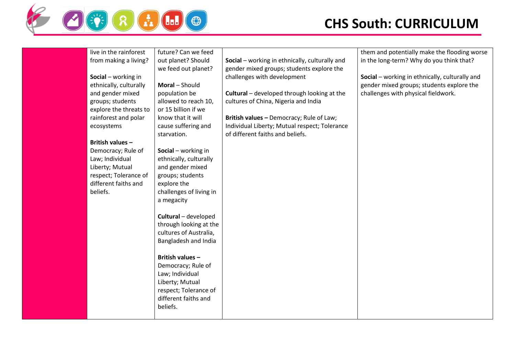

| live in the rainforest  | future? Can we feed     |                                                    | them and potentially make the flooding worse   |
|-------------------------|-------------------------|----------------------------------------------------|------------------------------------------------|
| from making a living?   | out planet? Should      | Social - working in ethnically, culturally and     | in the long-term? Why do you think that?       |
|                         | we feed out planet?     | gender mixed groups; students explore the          |                                                |
| Social - working in     |                         | challenges with development                        | Social - working in ethnically, culturally and |
| ethnically, culturally  | Moral - Should          |                                                    | gender mixed groups; students explore the      |
| and gender mixed        | population be           | <b>Cultural</b> – developed through looking at the | challenges with physical fieldwork.            |
| groups; students        | allowed to reach 10,    | cultures of China, Nigeria and India               |                                                |
| explore the threats to  | or 15 billion if we     |                                                    |                                                |
| rainforest and polar    | know that it will       | British values - Democracy; Rule of Law;           |                                                |
| ecosystems              | cause suffering and     | Individual Liberty; Mutual respect; Tolerance      |                                                |
|                         | starvation.             | of different faiths and beliefs.                   |                                                |
| <b>British values -</b> |                         |                                                    |                                                |
| Democracy; Rule of      | Social - working in     |                                                    |                                                |
| Law; Individual         | ethnically, culturally  |                                                    |                                                |
| Liberty; Mutual         | and gender mixed        |                                                    |                                                |
| respect; Tolerance of   | groups; students        |                                                    |                                                |
| different faiths and    | explore the             |                                                    |                                                |
| beliefs.                | challenges of living in |                                                    |                                                |
|                         | a megacity              |                                                    |                                                |
|                         |                         |                                                    |                                                |
|                         | Cultural - developed    |                                                    |                                                |
|                         | through looking at the  |                                                    |                                                |
|                         | cultures of Australia,  |                                                    |                                                |
|                         | Bangladesh and India    |                                                    |                                                |
|                         |                         |                                                    |                                                |
|                         | British values -        |                                                    |                                                |
|                         | Democracy; Rule of      |                                                    |                                                |
|                         | Law; Individual         |                                                    |                                                |
|                         | Liberty; Mutual         |                                                    |                                                |
|                         | respect; Tolerance of   |                                                    |                                                |
|                         | different faiths and    |                                                    |                                                |
|                         | beliefs.                |                                                    |                                                |
|                         |                         |                                                    |                                                |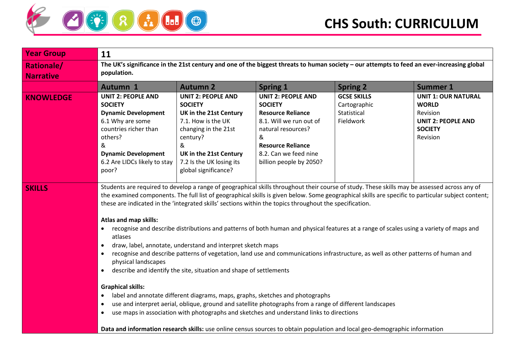

| <b>Year Group</b>                     | 11                                                                                                                                                                                                                                                                                                                                                                                                                                                                                                                                                                                                                                                                                                                                                                                                                                                                                                                                                                                                                                                                                                                                                                                                                                                                                                                                                                                                  |                                                                                                                                                                                                                    |                                                                                                                                                                                                               |                                                                |                                                                                                                   |  |
|---------------------------------------|-----------------------------------------------------------------------------------------------------------------------------------------------------------------------------------------------------------------------------------------------------------------------------------------------------------------------------------------------------------------------------------------------------------------------------------------------------------------------------------------------------------------------------------------------------------------------------------------------------------------------------------------------------------------------------------------------------------------------------------------------------------------------------------------------------------------------------------------------------------------------------------------------------------------------------------------------------------------------------------------------------------------------------------------------------------------------------------------------------------------------------------------------------------------------------------------------------------------------------------------------------------------------------------------------------------------------------------------------------------------------------------------------------|--------------------------------------------------------------------------------------------------------------------------------------------------------------------------------------------------------------------|---------------------------------------------------------------------------------------------------------------------------------------------------------------------------------------------------------------|----------------------------------------------------------------|-------------------------------------------------------------------------------------------------------------------|--|
| <b>Rationale/</b><br><b>Narrative</b> | The UK's significance in the 21st century and one of the biggest threats to human society - our attempts to feed an ever-increasing global<br>population.                                                                                                                                                                                                                                                                                                                                                                                                                                                                                                                                                                                                                                                                                                                                                                                                                                                                                                                                                                                                                                                                                                                                                                                                                                           |                                                                                                                                                                                                                    |                                                                                                                                                                                                               |                                                                |                                                                                                                   |  |
|                                       | Autumn 1                                                                                                                                                                                                                                                                                                                                                                                                                                                                                                                                                                                                                                                                                                                                                                                                                                                                                                                                                                                                                                                                                                                                                                                                                                                                                                                                                                                            | <b>Autumn 2</b>                                                                                                                                                                                                    | <b>Spring 1</b>                                                                                                                                                                                               | <b>Spring 2</b>                                                | <b>Summer 1</b>                                                                                                   |  |
| <b>KNOWLEDGE</b>                      | <b>UNIT 2: PEOPLE AND</b><br><b>SOCIETY</b><br><b>Dynamic Development</b><br>6.1 Why are some<br>countries richer than<br>others?<br>&<br><b>Dynamic Development</b><br>6.2 Are LIDCs likely to stay<br>poor?                                                                                                                                                                                                                                                                                                                                                                                                                                                                                                                                                                                                                                                                                                                                                                                                                                                                                                                                                                                                                                                                                                                                                                                       | <b>UNIT 2: PEOPLE AND</b><br><b>SOCIETY</b><br>UK in the 21st Century<br>7.1. How is the UK<br>changing in the 21st<br>century?<br>&<br>UK in the 21st Century<br>7.2 Is the UK losing its<br>global significance? | <b>UNIT 2: PEOPLE AND</b><br><b>SOCIETY</b><br><b>Resource Reliance</b><br>8.1. Will we run out of<br>natural resources?<br>&<br><b>Resource Reliance</b><br>8.2. Can we feed nine<br>billion people by 2050? | <b>GCSE SKILLS</b><br>Cartographic<br>Statistical<br>Fieldwork | <b>UNIT 1: OUR NATURAL</b><br><b>WORLD</b><br>Revision<br><b>UNIT 2: PEOPLE AND</b><br><b>SOCIETY</b><br>Revision |  |
| <b>SKILLS</b>                         | Students are required to develop a range of geographical skills throughout their course of study. These skills may be assessed across any of<br>the examined components. The full list of geographical skills is given below. Some geographical skills are specific to particular subject content;<br>these are indicated in the 'integrated skills' sections within the topics throughout the specification.<br>Atlas and map skills:<br>recognise and describe distributions and patterns of both human and physical features at a range of scales using a variety of maps and<br>atlases<br>draw, label, annotate, understand and interpret sketch maps<br>$\bullet$<br>recognise and describe patterns of vegetation, land use and communications infrastructure, as well as other patterns of human and<br>physical landscapes<br>describe and identify the site, situation and shape of settlements<br>$\bullet$<br><b>Graphical skills:</b><br>label and annotate different diagrams, maps, graphs, sketches and photographs<br>use and interpret aerial, oblique, ground and satellite photographs from a range of different landscapes<br>$\bullet$<br>use maps in association with photographs and sketches and understand links to directions<br>$\bullet$<br>Data and information research skills: use online census sources to obtain population and local geo-demographic information |                                                                                                                                                                                                                    |                                                                                                                                                                                                               |                                                                |                                                                                                                   |  |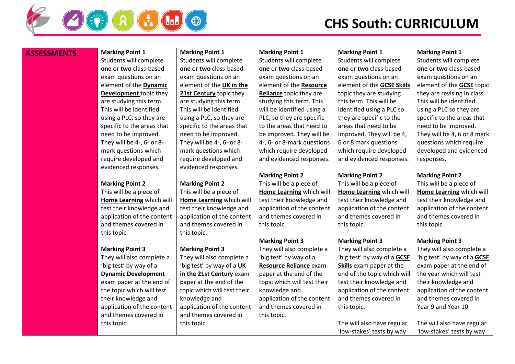

### **ASSESSMENTS** Marking Point 1

Students will complete **one** or **two** class-based exam questions on an element of the **Dynamic Development** topic they are studying this term. This will be identified using a PLC, so they are specific to the areas that need to be improved. They will be 4-, 6- or 8 mark questions which require developed and evidenced responses.

#### **Marking Point 2**

This will be a piece of **Home Learning** which will test their knowledge and application of the content and themes covered in this topic.

#### **Marking Point 3**

They will also complete a 'big test' by way of a **Dynamic Development** exam paper at the end of the topic which will test their knowledge and application of the content and themes covered in this topic.

**Marking Point 1** Students will complete **one** or **two** class-based exam questions on an element of the **UK in the 21st Century** topic they are studying this term. This will be identified using a PLC, so they are specific to the areas that need to be improved. They will be 4-, 6- or 8 mark questions which require developed and evidenced responses.

#### **Marking Point 2**

This will be a piece of **Home Learning** which will test their knowledge and application of the content and themes covered in this topic.

#### **Marking Point 3**

They will also complete a 'big test' by way of a **UK in the 21st Century** exam paper at the end of the topic which will test their knowledge and application of the content and themes covered in this topic.

**Marking Point 1** Students will complete **one** or **two** class-based exam questions on an element of the **Resource Reliance** topic they are studying this term. This will be identified using a PLC, so they are specific to the areas that need to be improved. They will be 4-, 6- or 8-mark questions which require developed and evidenced responses.

#### **Marking Point 2**

This will be a piece of **Home Learning** which will test their knowledge and application of the content and themes covered in this topic.

#### **Marking Point 3**

They will also complete a 'big test' by way of a **Resource Reliance** exam paper at the end of the topic which will test their knowledge and application of the content and themes covered in this topic.

**Marking Point 1**

Students will complete **one** or **two** class-based exam questions on an element of the **GCSE Skills** topic they are studying this term. This will be identified using a PLC so they are specific to the areas that need to be improved. They will be 4, 6 or 8 mark questions which require developed and evidenced responses.

#### **Marking Point 2**

This will be a piece of **Home Learning** which will test their knowledge and application of the content and themes covered in this topic.

#### **Marking Point 3**

They will also complete a 'big test' by way of a **GCSE Skills** exam paper at the end of the topic which will test their knowledge and application of the content and themes covered in this topic.

The will also have regular 'low-stakes' tests by way

#### **Marking Point 1**

Students will complete **one** or **two** class-based exam questions on an element of the **GCSE** topic they are revising in class. This will be identified using a PLC so they are specific to the areas that need to be improved. They will be 4, 6 or 8 mark questions which require developed and evidenced responses.

#### **Marking Point 2**

This will be a piece of **Home Learning** which will test their knowledge and application of the content and themes covered in this topic.

#### **Marking Point 3**

They will also complete a 'big test' by way of a **GCSE** exam paper at the end of the year which will test their knowledge and application of the content and themes covered in Year 9 and Year 10.

The will also have regular 'low-stakes' tests by way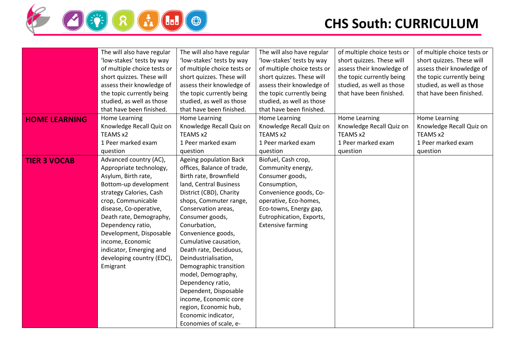

|                      | The will also have regular  | The will also have regular  | The will also have regular  | of multiple choice tests or | of multiple choice tests or |
|----------------------|-----------------------------|-----------------------------|-----------------------------|-----------------------------|-----------------------------|
|                      | 'low-stakes' tests by way   | 'low-stakes' tests by way   | 'low-stakes' tests by way   | short quizzes. These will   | short quizzes. These will   |
|                      | of multiple choice tests or | of multiple choice tests or | of multiple choice tests or | assess their knowledge of   | assess their knowledge of   |
|                      | short quizzes. These will   | short quizzes. These will   | short quizzes. These will   | the topic currently being   | the topic currently being   |
|                      | assess their knowledge of   | assess their knowledge of   | assess their knowledge of   | studied, as well as those   | studied, as well as those   |
|                      | the topic currently being   | the topic currently being   | the topic currently being   | that have been finished.    | that have been finished.    |
|                      | studied, as well as those   | studied, as well as those   | studied, as well as those   |                             |                             |
|                      | that have been finished.    | that have been finished.    | that have been finished.    |                             |                             |
| <b>HOME LEARNING</b> | Home Learning               | Home Learning               | Home Learning               | Home Learning               | Home Learning               |
|                      | Knowledge Recall Quiz on    | Knowledge Recall Quiz on    | Knowledge Recall Quiz on    | Knowledge Recall Quiz on    | Knowledge Recall Quiz on    |
|                      | TEAMS x2                    | TEAMS x2                    | TEAMS x2                    | TEAMS x2                    | TEAMS x2                    |
|                      | 1 Peer marked exam          | 1 Peer marked exam          | 1 Peer marked exam          | 1 Peer marked exam          | 1 Peer marked exam          |
|                      | question                    | question                    | question                    | question                    | question                    |
| <b>TIER 3 VOCAB</b>  | Advanced country (AC),      | Ageing population Back      | Biofuel, Cash crop,         |                             |                             |
|                      | Appropriate technology,     | offices, Balance of trade,  | Community energy,           |                             |                             |
|                      | Asylum, Birth rate,         | Birth rate, Brownfield      | Consumer goods,             |                             |                             |
|                      | Bottom-up development       | land, Central Business      | Consumption,                |                             |                             |
|                      | strategy Calories, Cash     | District (CBD), Charity     | Convenience goods, Co-      |                             |                             |
|                      | crop, Communicable          | shops, Commuter range,      | operative, Eco-homes,       |                             |                             |
|                      | disease, Co-operative,      | Conservation areas,         | Eco-towns, Energy gap,      |                             |                             |
|                      | Death rate, Demography,     | Consumer goods,             | Eutrophication, Exports,    |                             |                             |
|                      | Dependency ratio,           | Conurbation,                | <b>Extensive farming</b>    |                             |                             |
|                      | Development, Disposable     | Convenience goods,          |                             |                             |                             |
|                      | income, Economic            | Cumulative causation,       |                             |                             |                             |
|                      | indicator, Emerging and     | Death rate, Deciduous,      |                             |                             |                             |
|                      | developing country (EDC),   | Deindustrialisation,        |                             |                             |                             |
|                      | Emigrant                    | Demographic transition      |                             |                             |                             |
|                      |                             | model, Demography,          |                             |                             |                             |
|                      |                             | Dependency ratio,           |                             |                             |                             |
|                      |                             | Dependent, Disposable       |                             |                             |                             |
|                      |                             | income, Economic core       |                             |                             |                             |
|                      |                             | region, Economic hub,       |                             |                             |                             |
|                      |                             | Economic indicator,         |                             |                             |                             |
|                      |                             |                             |                             |                             |                             |
|                      |                             | Economies of scale, e-      |                             |                             |                             |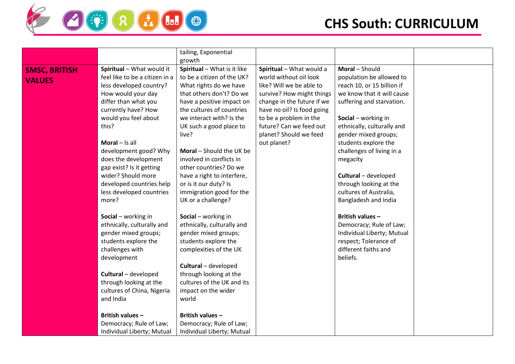

|                      |                                | tailing, Exponential        |                            |                            |  |
|----------------------|--------------------------------|-----------------------------|----------------------------|----------------------------|--|
|                      |                                | growth                      |                            |                            |  |
| <b>SMSC, BRITISH</b> | Spiritual - What would it      | Spiritual - What is it like | Spiritual - What would a   | Moral - Should             |  |
| <b>VALUES</b>        | feel like to be a citizen in a | to be a citizen of the UK?  | world without oil look     | population be allowed to   |  |
|                      | less developed country?        | What rights do we have      | like? Will we be able to   | reach 10, or 15 billion if |  |
|                      | How would your day             | that others don't? Do we    | survive? How might things  | we know that it will cause |  |
|                      | differ than what you           | have a positive impact on   | change in the future if we | suffering and starvation.  |  |
|                      | currently have? How            | the cultures of countries   | have no oil? Is food going |                            |  |
|                      | would you feel about           | we interact with? Is the    | to be a problem in the     | Social - working in        |  |
|                      | this?                          | UK such a good place to     | future? Can we feed out    | ethnically, culturally and |  |
|                      |                                | live?                       | planet? Should we feed     | gender mixed groups;       |  |
|                      | Moral $-$ Is all               |                             | out planet?                | students explore the       |  |
|                      | development good? Why          | Moral - Should the UK be    |                            | challenges of living in a  |  |
|                      | does the development           | involved in conflicts in    |                            | megacity                   |  |
|                      | gap exist? Is it getting       | other countries? Do we      |                            |                            |  |
|                      | wider? Should more             | have a right to interfere,  |                            | Cultural - developed       |  |
|                      | developed countries help       | or is it our duty? Is       |                            | through looking at the     |  |
|                      | less developed countries       | immigration good for the    |                            | cultures of Australia,     |  |
|                      | more?                          | UK or a challenge?          |                            | Bangladesh and India       |  |
|                      |                                |                             |                            |                            |  |
|                      | Social - working in            | Social - working in         |                            | British values-            |  |
|                      | ethnically, culturally and     | ethnically, culturally and  |                            | Democracy; Rule of Law;    |  |
|                      | gender mixed groups;           | gender mixed groups;        |                            | Individual Liberty; Mutual |  |
|                      | students explore the           | students explore the        |                            | respect; Tolerance of      |  |
|                      | challenges with                | complexities of the UK      |                            | different faiths and       |  |
|                      | development                    |                             |                            | beliefs.                   |  |
|                      |                                | Cultural - developed        |                            |                            |  |
|                      | Cultural - developed           | through looking at the      |                            |                            |  |
|                      | through looking at the         | cultures of the UK and its  |                            |                            |  |
|                      | cultures of China, Nigeria     | impact on the wider         |                            |                            |  |
|                      | and India                      | world                       |                            |                            |  |
|                      |                                |                             |                            |                            |  |
|                      | British values-                | <b>British values -</b>     |                            |                            |  |
|                      | Democracy; Rule of Law;        | Democracy; Rule of Law;     |                            |                            |  |
|                      | Individual Liberty; Mutual     | Individual Liberty; Mutual  |                            |                            |  |